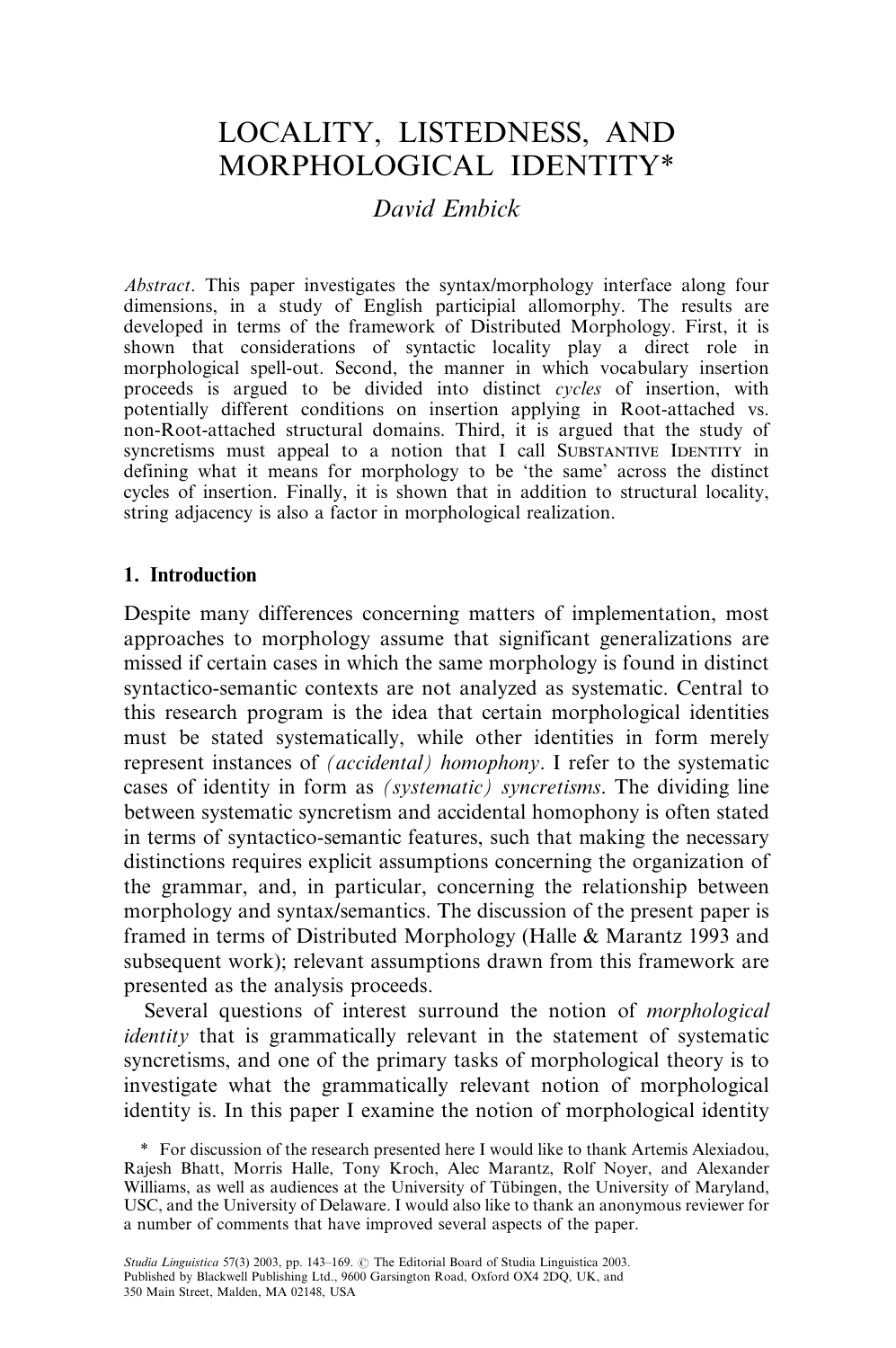# LOCALITY, LISTEDNESS, AND MORPHOLOGICAL IDENTITY\*

# David Embick

*Abstract*. This paper investigates the syntax/morphology interface along four dimensions, in a study of English participial allomorphy. The results are developed in terms of the framework of Distributed Morphology. First, it is shown that considerations of syntactic locality play a direct role in morphological spell-out. Second, the manner in which vocabulary insertion proceeds is argued to be divided into distinct cycles of insertion, with potentially different conditions on insertion applying in Root-attached vs. non-Root-attached structural domains. Third, it is argued that the study of syncretisms must appeal to a notion that I call SUBSTANTIVE IDENTITY in defining what it means for morphology to be 'the same' across the distinct cycles of insertion. Finally, it is shown that in addition to structural locality, string adjacency is also a factor in morphological realization.

## 1. Introduction

Despite many differences concerning matters of implementation, most approaches to morphology assume that significant generalizations are missed if certain cases in which the same morphology is found in distinct syntactico-semantic contexts are not analyzed as systematic. Central to this research program is the idea that certain morphological identities must be stated systematically, while other identities in form merely represent instances of *(accidental)* homophony. I refer to the systematic cases of identity in form as *(systematic)* syncretisms. The dividing line between systematic syncretism and accidental homophony is often stated in terms of syntactico-semantic features, such that making the necessary distinctions requires explicit assumptions concerning the organization of the grammar, and, in particular, concerning the relationship between morphology and syntax/semantics. The discussion of the present paper is framed in terms of Distributed Morphology (Halle & Marantz 1993 and subsequent work); relevant assumptions drawn from this framework are presented as the analysis proceeds.

Several questions of interest surround the notion of *morphological identity* that is grammatically relevant in the statement of systematic syncretisms, and one of the primary tasks of morphological theory is to investigate what the grammatically relevant notion of morphological identity is. In this paper I examine the notion of morphological identity

<sup>\*</sup> For discussion of the research presented here I would like to thank Artemis Alexiadou, Rajesh Bhatt, Morris Halle, Tony Kroch, Alec Marantz, Rolf Noyer, and Alexander Williams, as well as audiences at the University of Tübingen, the University of Maryland, USC, and the University of Delaware. I would also like to thank an anonymous reviewer for a number of comments that have improved several aspects of the paper.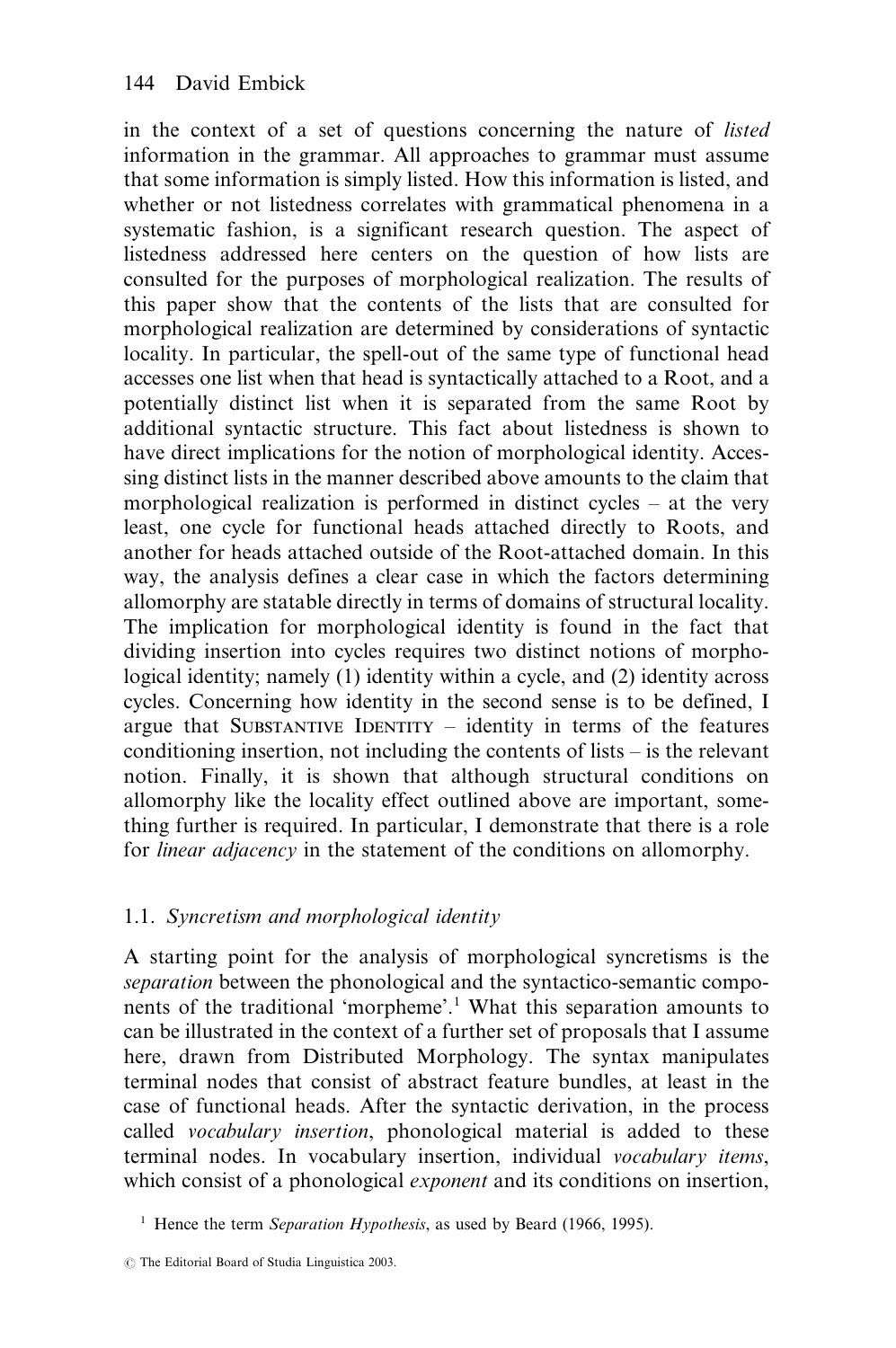in the context of a set of questions concerning the nature of *listed* information in the grammar. All approaches to grammar must assume that some information is simply listed. How this information is listed, and whether or not listedness correlates with grammatical phenomena in a systematic fashion, is a significant research question. The aspect of listedness addressed here centers on the question of how lists are consulted for the purposes of morphological realization. The results of this paper show that the contents of the lists that are consulted for morphological realization are determined by considerations of syntactic locality. In particular, the spell-out of the same type of functional head accesses one list when that head is syntactically attached to a Root, and a potentially distinct list when it is separated from the same Root by additional syntactic structure. This fact about listedness is shown to have direct implications for the notion of morphological identity. Accessing distinct lists in the manner described above amounts to the claim that morphological realization is performed in distinct cycles  $-$  at the very least, one cycle for functional heads attached directly to Roots, and another for heads attached outside of the Root-attached domain. In this way, the analysis defines a clear case in which the factors determining allomorphy are statable directly in terms of domains of structural locality. The implication for morphological identity is found in the fact that dividing insertion into cycles requires two distinct notions of morphological identity; namely (1) identity within a cycle, and (2) identity across cycles. Concerning how identity in the second sense is to be defined, I argue that SUBSTANTIVE IDENTITY  $-$  identity in terms of the features conditioning insertion, not including the contents of lists  $-$  is the relevant notion. Finally, it is shown that although structural conditions on allomorphy like the locality effect outlined above are important, something further is required. In particular, I demonstrate that there is a role for *linear adjacency* in the statement of the conditions on allomorphy.

# 1.1. Syncretism and morphological identity

A starting point for the analysis of morphological syncretisms is the separation between the phonological and the syntactico-semantic components of the traditional 'morpheme'.<sup>1</sup> What this separation amounts to can be illustrated in the context of a further set of proposals that I assume here, drawn from Distributed Morphology. The syntax manipulates terminal nodes that consist of abstract feature bundles, at least in the case of functional heads. After the syntactic derivation, in the process called *vocabulary insertion*, phonological material is added to these terminal nodes. In vocabulary insertion, individual vocabulary items, which consist of a phonological *exponent* and its conditions on insertion,

<sup>&</sup>lt;sup>1</sup> Hence the term Separation Hypothesis, as used by Beard (1966, 1995).

<sup>©</sup> The Editorial Board of Studia Linguistica 2003.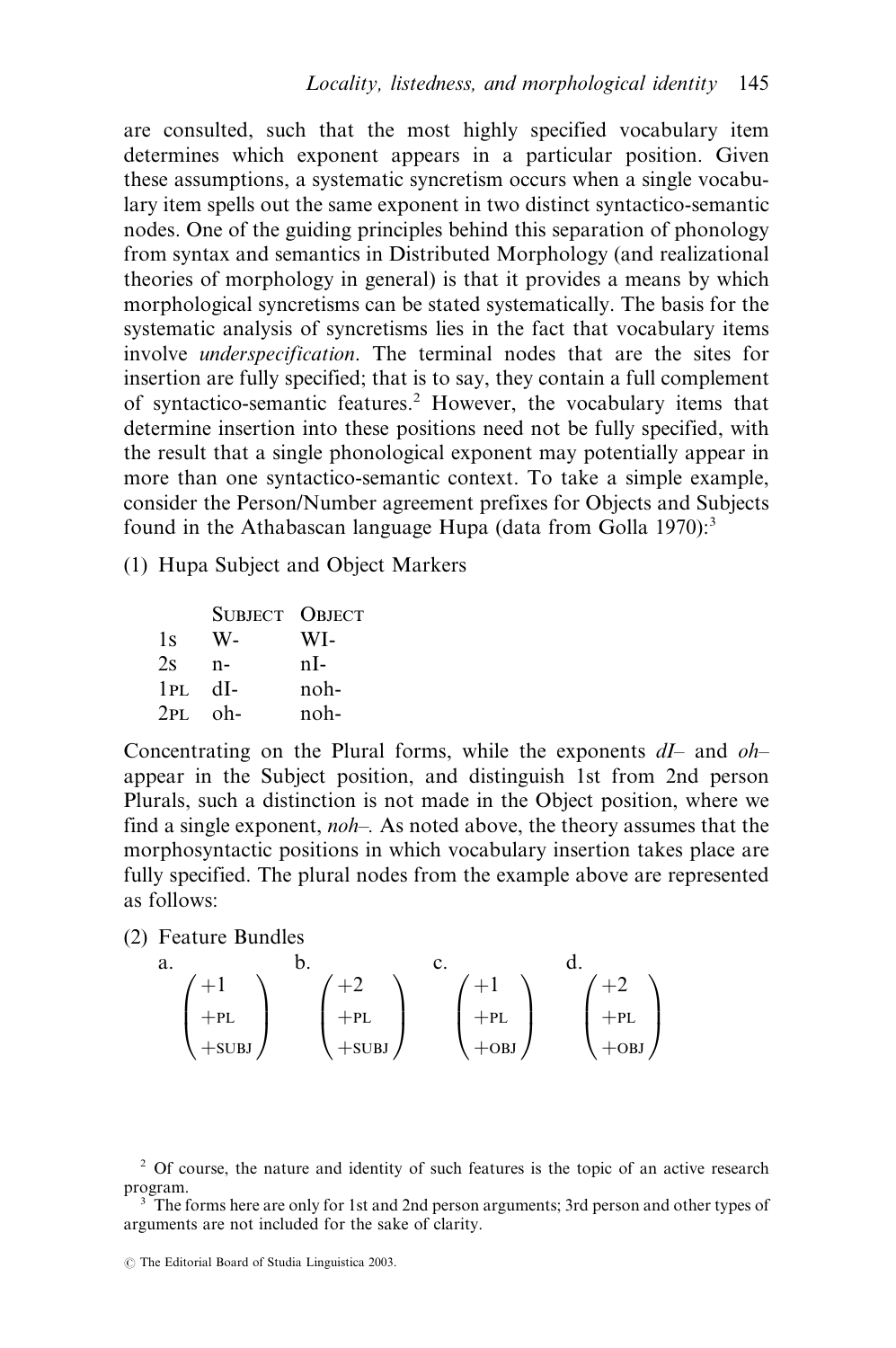are consulted, such that the most highly specified vocabulary item determines which exponent appears in a particular position. Given these assumptions, a systematic syncretism occurs when a single vocabulary item spells out the same exponent in two distinct syntactico-semantic nodes. One of the guiding principles behind this separation of phonology from syntax and semantics in Distributed Morphology (and realizational theories of morphology in general) is that it provides a means by which morphological syncretisms can be stated systematically. The basis for the systematic analysis of syncretisms lies in the fact that vocabulary items involve *underspecification*. The terminal nodes that are the sites for insertion are fully specified; that is to say, they contain a full complement of syntactico-semantic features.<sup>2</sup> However, the vocabulary items that determine insertion into these positions need not be fully specified, with the result that a single phonological exponent may potentially appear in more than one syntactico-semantic context. To take a simple example, consider the Person/Number agreement prefixes for Objects and Subjects found in the Athabascan language Hupa (data from Golla 1970):<sup>3</sup>

(1) Hupa Subject and Object Markers

|       | SUBJECT OBJECT |      |
|-------|----------------|------|
| 1s    | W-             | WI-  |
| 2s    | n-             | nI-  |
| l pl. | dI-            | noh- |
| 2PL   | oh-            | noh- |

Concentrating on the Plural forms, while the exponents  $dI$ – and  $oh$ – appear in the Subject position, and distinguish 1st from 2nd person Plurals, such a distinction is not made in the Object position, where we find a single exponent, *noh*-. As noted above, the theory assumes that the morphosyntactic positions in which vocabulary insertion takes place are fully specified. The plural nodes from the example above are represented as follows:

(2) Feature Bundles

a.  
\n
$$
\begin{pmatrix}\n+1 \\
+PL \\
+SUBJ\n\end{pmatrix}\n\begin{pmatrix}\n+2 \\
+PL \\
+SUBJ\n\end{pmatrix}\n\begin{pmatrix}\n+1 \\
+PL \\
+OBJ\n\end{pmatrix}\n\begin{pmatrix}\n+2 \\
+PL \\
+OBJ\n\end{pmatrix}
$$

<sup>&</sup>lt;sup>2</sup> Of course, the nature and identity of such features is the topic of an active research program.

<sup>&</sup>lt;sup>3</sup> The forms here are only for 1st and 2nd person arguments; 3rd person and other types of arguments are not included for the sake of clarity.

<sup>©</sup> The Editorial Board of Studia Linguistica 2003.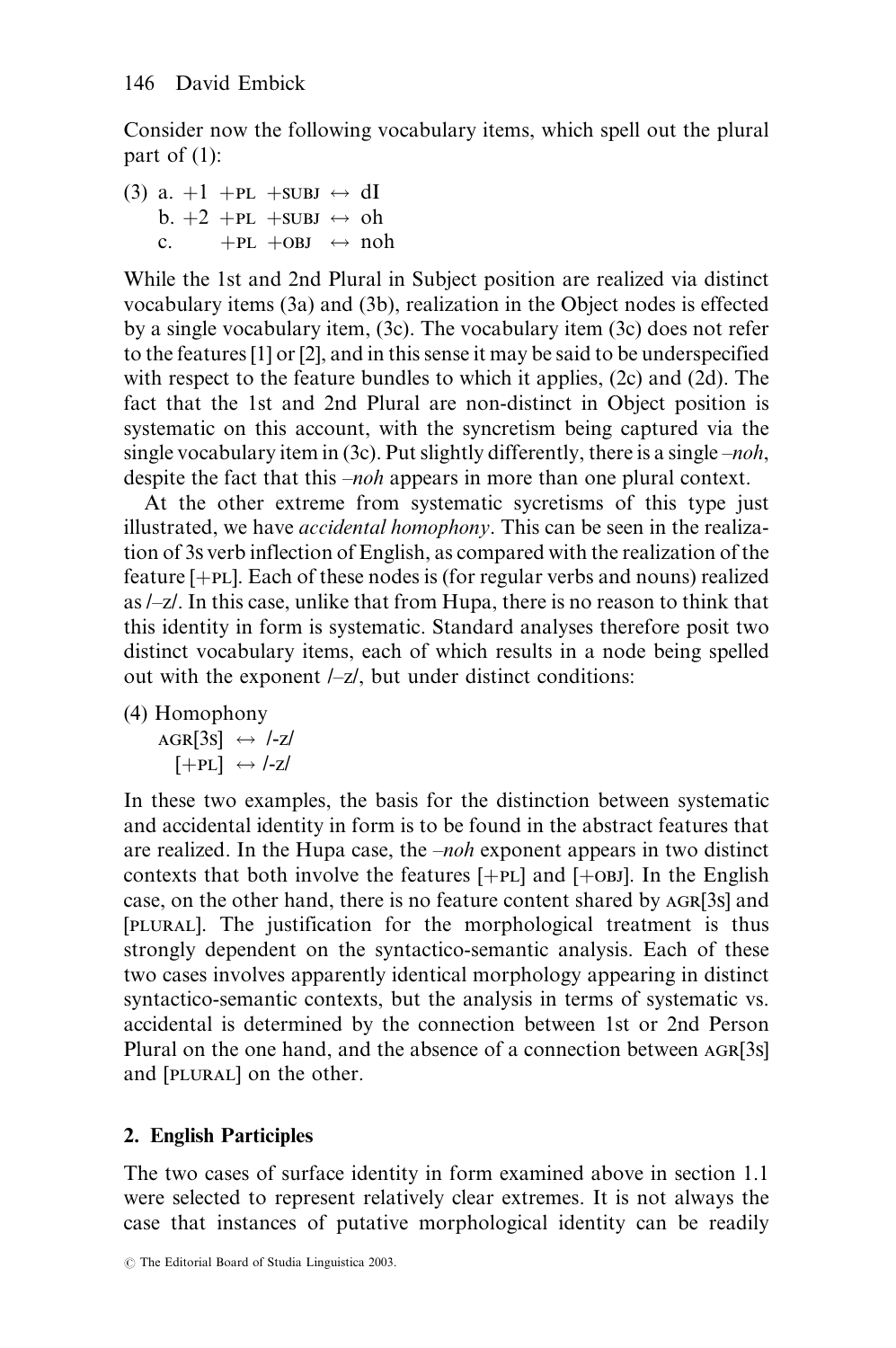Consider now the following vocabulary items, which spell out the plural part of  $(1)$ :

(3) a.  $+1$  +PL +SUBJ  $\leftrightarrow$  dI b.  $+2$  +PL +SUBJ  $\leftrightarrow$  oh  $+PL$  +OBJ  $\leftrightarrow$  noh  $\mathbf{c}$ .

While the 1st and 2nd Plural in Subject position are realized via distinct vocabulary items (3a) and (3b), realization in the Object nodes is effected by a single vocabulary item,  $(3c)$ . The vocabulary item  $(3c)$  does not refer to the features [1] or [2], and in this sense it may be said to be underspecified with respect to the feature bundles to which it applies, (2c) and (2d). The fact that the 1st and 2nd Plural are non-distinct in Object position is systematic on this account, with the syncretism being captured via the single vocabulary item in (3c). Put slightly differently, there is a single  $-noh$ , despite the fact that this *-noh* appears in more than one plural context.

At the other extreme from systematic sycretisms of this type just illustrated, we have *accidental homophony*. This can be seen in the realization of 3s verb inflection of English, as compared with the realization of the feature  $[+PL]$ . Each of these nodes is (for regular verbs and nouns) realized as  $\frac{-z}{i}$ . In this case, unlike that from Hupa, there is no reason to think that this identity in form is systematic. Standard analyses therefore posit two distinct vocabulary items, each of which results in a node being spelled out with the exponent  $\frac{1}{2}$ , but under distinct conditions:

(4) Homophony

 $AGR[3s] \leftrightarrow$  /-z/  $[+PL] \leftrightarrow |-Z|$ 

In these two examples, the basis for the distinction between systematic and accidental identity in form is to be found in the abstract features that are realized. In the Hupa case, the  $-noh$  exponent appears in two distinct contexts that both involve the features  $[+PL]$  and  $[+OBI]$ . In the English case, on the other hand, there is no feature content shared by AGR[3s] and [PLURAL]. The justification for the morphological treatment is thus strongly dependent on the syntactico-semantic analysis. Each of these two cases involves apparently identical morphology appearing in distinct syntactico-semantic contexts, but the analysis in terms of systematic vs. accidental is determined by the connection between 1st or 2nd Person Plural on the one hand, and the absence of a connection between AGR[3s] and [PLURAL] on the other.

# 2. English Participles

The two cases of surface identity in form examined above in section 1.1 were selected to represent relatively clear extremes. It is not always the case that instances of putative morphological identity can be readily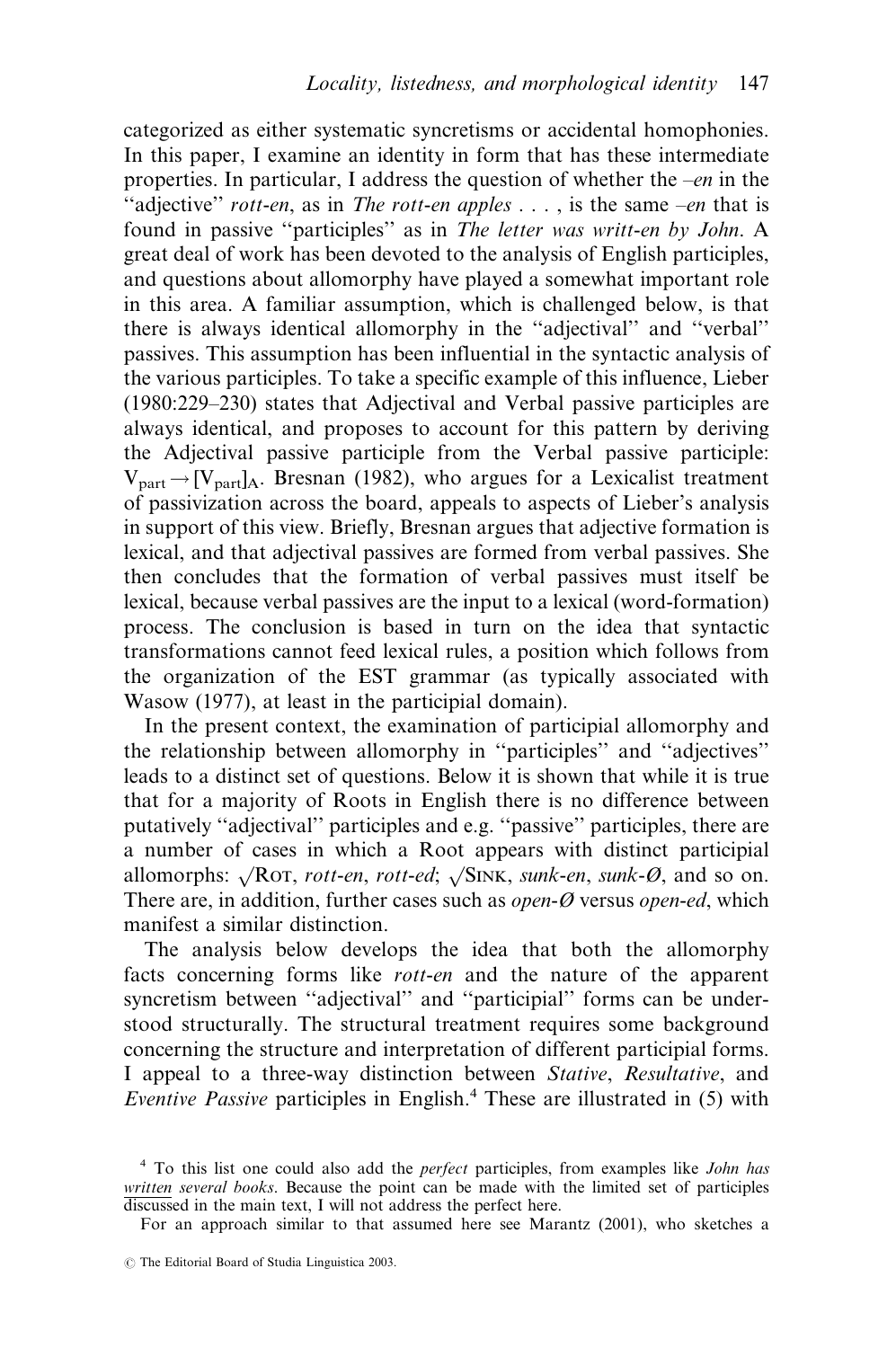categorized as either systematic syncretisms or accidental homophonies. In this paper, I examine an identity in form that has these intermediate properties. In particular, I address the question of whether the  $-en$  in the "adjective" *rott-en*, as in *The rott-en apples* . . . , is the same  $-en$  that is found in passive "participles" as in The letter was writt-en by John. A great deal of work has been devoted to the analysis of English participles, and questions about allomorphy have played a somewhat important role in this area. A familiar assumption, which is challenged below, is that there is always identical allomorphy in the "adjectival" and "verbal" passives. This assumption has been influential in the syntactic analysis of the various participles. To take a specific example of this influence, Lieber (1980:229–230) states that Adjectival and Verbal passive participles are always identical, and proposes to account for this pattern by deriving the Adjectival passive participle from the Verbal passive participle:  $V_{\text{part}} \rightarrow [V_{\text{part}}]_A$ . Bresnan (1982), who argues for a Lexicalist treatment of passivization across the board, appeals to aspects of Lieber's analysis in support of this view. Briefly, Bresnan argues that adjective formation is lexical, and that adjectival passives are formed from verbal passives. She then concludes that the formation of verbal passives must itself be lexical, because verbal passives are the input to a lexical (word-formation) process. The conclusion is based in turn on the idea that syntactic transformations cannot feed lexical rules, a position which follows from the organization of the EST grammar (as typically associated with Wasow (1977), at least in the participial domain).

In the present context, the examination of participial allomorphy and the relationship between allomorphy in "participles" and "adjectives" leads to a distinct set of questions. Below it is shown that while it is true that for a majority of Roots in English there is no difference between putatively "adjectival" participles and e.g. "passive" participles, there are a number of cases in which a Root appears with distinct participial allomorphs:  $\sqrt{ROT}$ , rott-en, rott-ed;  $\sqrt{SNK}$ , sunk-en, sunk- $\emptyset$ , and so on. There are, in addition, further cases such as *open-* $\emptyset$  versus *open-ed*, which manifest a similar distinction.

The analysis below develops the idea that both the allomorphy facts concerning forms like *rott-en* and the nature of the apparent syncretism between "adjectival" and "participial" forms can be understood structurally. The structural treatment requires some background concerning the structure and interpretation of different participial forms. I appeal to a three-way distinction between *Stative*, *Resultative*, and *Eventive Passive participles in English.*<sup>4</sup> These are illustrated in (5) with

<sup>&</sup>lt;sup>4</sup> To this list one could also add the *perfect* participles, from examples like *John has* written several books. Because the point can be made with the limited set of participles discussed in the main text, I will not address the perfect here.

For an approach similar to that assumed here see Marantz (2001), who sketches a

<sup>©</sup> The Editorial Board of Studia Linguistica 2003.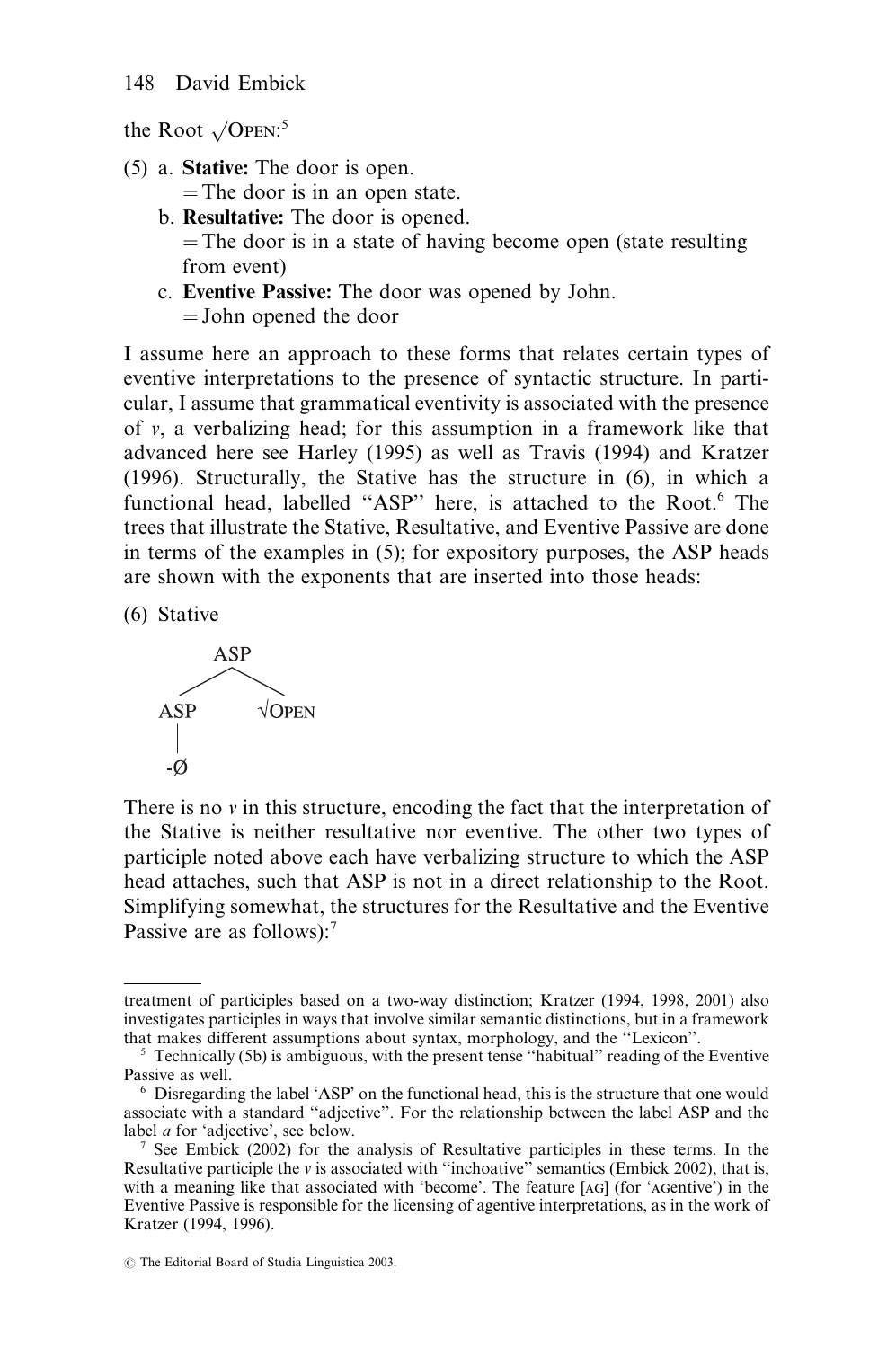the Root  $\sqrt{OPEN:}$ <sup>5</sup>

- (5) a. Stative: The door is open.
	- $=$  The door is in an open state. b. Resultative: The door is opened.  $=$ The door is in a state of having become open (state resulting from event)
	- c. Eventive Passive: The door was opened by John.  $=$  John opened the door

I assume here an approach to these forms that relates certain types of eventive interpretations to the presence of syntactic structure. In particular, I assume that grammatical eventivity is associated with the presence of  $v$ , a verbalizing head; for this assumption in a framework like that advanced here see Harley (1995) as well as Travis (1994) and Kratzer (1996). Structurally, the Stative has the structure in (6), in which a functional head, labelled "ASP" here, is attached to the Root.<sup>6</sup> The trees that illustrate the Stative, Resultative, and Eventive Passive are done in terms of the examples in (5); for expository purposes, the ASP heads are shown with the exponents that are inserted into those heads:

(6) Stative



There is no  $\nu$  in this structure, encoding the fact that the interpretation of the Stative is neither resultative nor eventive. The other two types of participle noted above each have verbalizing structure to which the ASP head attaches, such that ASP is not in a direct relationship to the Root. Simplifying somewhat, the structures for the Resultative and the Eventive Passive are as follows): $7$ 

treatment of participles based on a two-way distinction; Kratzer (1994, 1998, 2001) also investigates participles in ways that involve similar semantic distinctions, but in a framework that makes different assumptions about syntax, morphology, and the "Lexicon".

<sup>&</sup>lt;sup>5</sup> Technically (5b) is ambiguous, with the present tense "habitual" reading of the Eventive Passive as well.

 $6\sigma$  Disregarding the label 'ASP' on the functional head, this is the structure that one would associate with a standard "adjective". For the relationship between the label ASP and the label  $a$  for 'adjective', see below.

 $7$  See Embick (2002) for the analysis of Resultative participles in these terms. In the Resultative participle the v is associated with "inchoative" semantics (Embick 2002), that is, with a meaning like that associated with 'become'. The feature [AG] (for 'AGentive') in the Eventive Passive is responsible for the licensing of agentive interpretations, as in the work of Kratzer (1994, 1996).

<sup>©</sup> The Editorial Board of Studia Linguistica 2003.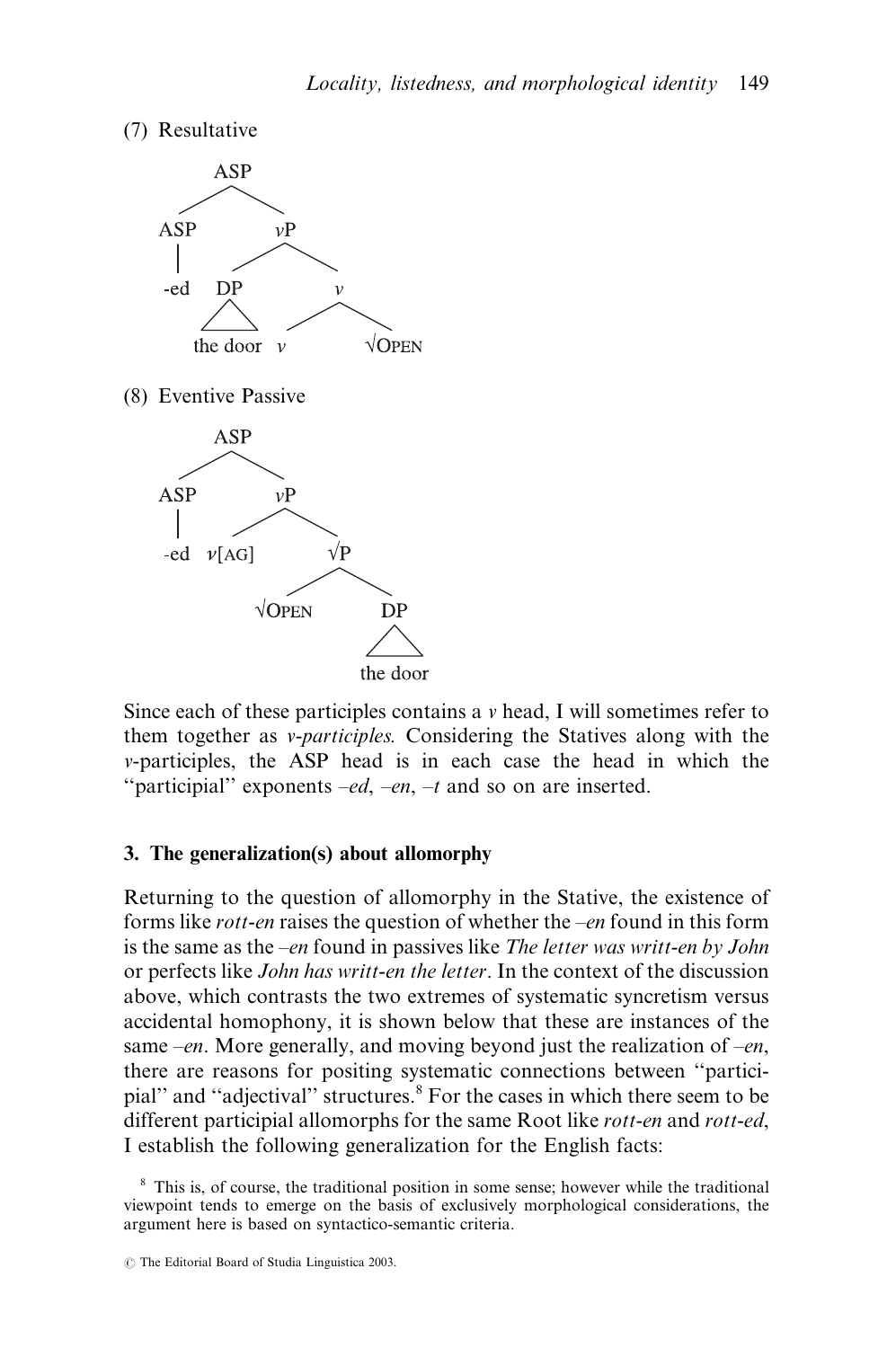(7) Resultative



Since each of these participles contains a  $\nu$  head, I will sometimes refer to them together as *v-participles*. Considering the Statives along with the v-participles, the ASP head is in each case the head in which the "participial" exponents  $-ed$ ,  $-en$ ,  $-t$  and so on are inserted.

### 3. The generalization(s) about allomorphy

Returning to the question of allomorphy in the Stative, the existence of forms like *rott-en* raises the question of whether the  $-en$  found in this form is the same as the  $-en$  found in passives like The letter was writt-en by John or perfects like *John has writt-en the letter*. In the context of the discussion above, which contrasts the two extremes of systematic syncretism versus accidental homophony, it is shown below that these are instances of the same  $-en.$  More generally, and moving beyond just the realization of  $-en.$ there are reasons for positing systematic connections between "participial" and "adjectival" structures.<sup>8</sup> For the cases in which there seem to be different participial allomorphs for the same Root like rott-en and rott-ed, I establish the following generalization for the English facts:

<sup>&</sup>lt;sup>8</sup> This is, of course, the traditional position in some sense; however while the traditional viewpoint tends to emerge on the basis of exclusively morphological considerations, the argument here is based on syntactico-semantic criteria.

<sup>©</sup> The Editorial Board of Studia Linguistica 2003.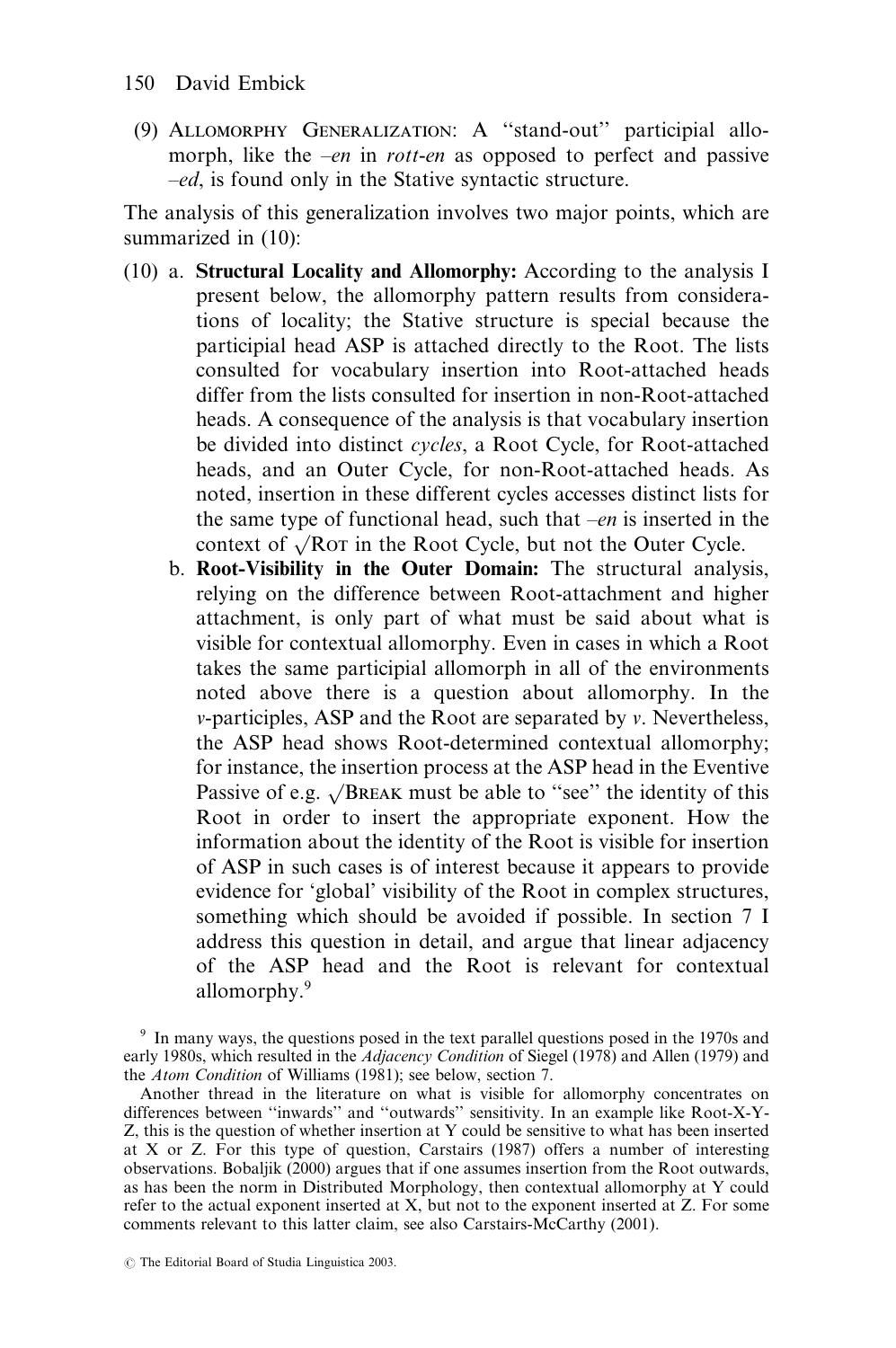(9) ALLOMORPHY GENERALIZATION: A "stand-out" participial allomorph, like the  $-en$  in *rott-en* as opposed to perfect and passive -ed, is found only in the Stative syntactic structure.

The analysis of this generalization involves two major points, which are summarized in (10):

- (10) a. Structural Locality and Allomorphy: According to the analysis I present below, the allomorphy pattern results from considerations of locality; the Stative structure is special because the participial head ASP is attached directly to the Root. The lists consulted for vocabulary insertion into Root-attached heads differ from the lists consulted for insertion in non-Root-attached heads. A consequence of the analysis is that vocabulary insertion be divided into distinct cycles, a Root Cycle, for Root-attached heads, and an Outer Cycle, for non-Root-attached heads. As noted, insertion in these different cycles accesses distinct lists for the same type of functional head, such that  $-en$  is inserted in the context of  $\sqrt{R}$  at the Root Cycle, but not the Outer Cycle.
	- b. Root-Visibility in the Outer Domain: The structural analysis, relying on the difference between Root-attachment and higher attachment, is only part of what must be said about what is visible for contextual allomorphy. Even in cases in which a Root takes the same participial allomorph in all of the environments noted above there is a question about allomorphy. In the *v*-participles. ASP and the Root are separated by  $\nu$ . Nevertheless. the ASP head shows Root-determined contextual allomorphy; for instance, the insertion process at the ASP head in the Eventive Passive of e.g.  $\sqrt{\text{B}}$ REAK must be able to "see" the identity of this Root in order to insert the appropriate exponent. How the information about the identity of the Root is visible for insertion of ASP in such cases is of interest because it appears to provide evidence for 'global' visibility of the Root in complex structures, something which should be avoided if possible. In section 7 I address this question in detail, and argue that linear adjacency of the ASP head and the Root is relevant for contextual allomorphy.<sup>9</sup>

<sup>9</sup> In many ways, the questions posed in the text parallel questions posed in the 1970s and early 1980s, which resulted in the *Adjacency Condition* of Siegel (1978) and Allen (1979) and the Atom Condition of Williams (1981); see below, section 7.

Another thread in the literature on what is visible for allomorphy concentrates on differences between "inwards" and "outwards" sensitivity. In an example like Root-X-Y-Z, this is the question of whether insertion at Y could be sensitive to what has been inserted at X or Z. For this type of question, Carstairs (1987) offers a number of interesting observations. Bobaljik (2000) argues that if one assumes insertion from the Root outwards, as has been the norm in Distributed Morphology, then contextual allomorphy at Y could refer to the actual exponent inserted at X, but not to the exponent inserted at Z. For some comments relevant to this latter claim, see also Carstairs-McCarthy (2001).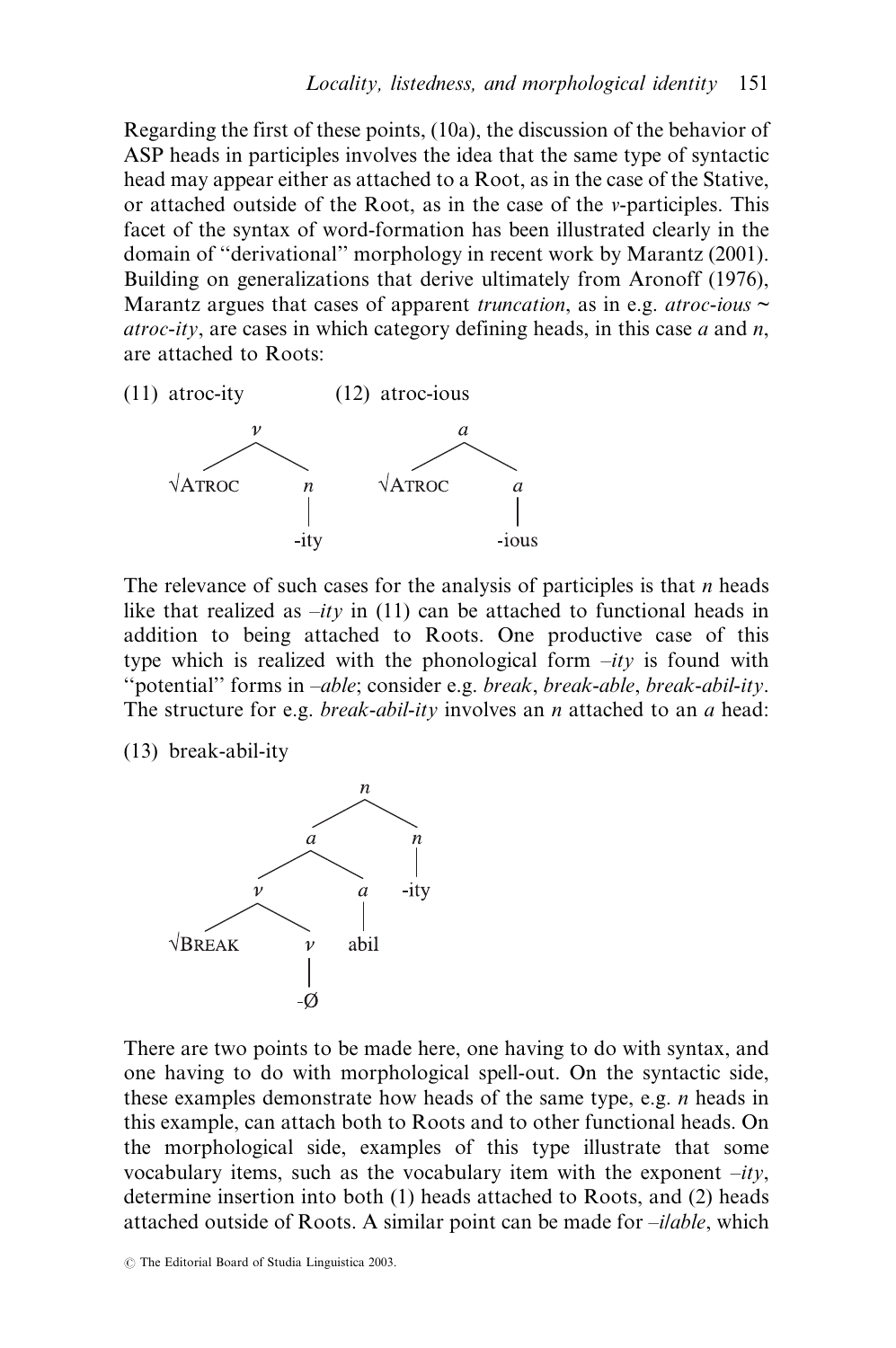Regarding the first of these points, (10a), the discussion of the behavior of ASP heads in participles involves the idea that the same type of syntactic head may appear either as attached to a Root, as in the case of the Stative, or attached outside of the Root, as in the case of the *v*-participles. This facet of the syntax of word-formation has been illustrated clearly in the domain of "derivational" morphology in recent work by Marantz (2001). Building on generalizations that derive ultimately from Aronoff (1976), Marantz argues that cases of apparent *truncation*, as in e.g. *atroc-ious*  $\sim$  $\arcc-ity$ , are cases in which category defining heads, in this case a and n, are attached to Roots:



The relevance of such cases for the analysis of participles is that  $n$  heads like that realized as  $-ity$  in (11) can be attached to functional heads in addition to being attached to Roots. One productive case of this type which is realized with the phonological form  $-ity$  is found with "potential" forms in -able; consider e.g. break, break-able, break-abil-ity. The structure for e.g. *break-abil-ity* involves an *n* attached to an *a* head:

 $(13)$  break-abil-ity



There are two points to be made here, one having to do with syntax, and one having to do with morphological spell-out. On the syntactic side, these examples demonstrate how heads of the same type, e.g.  $n$  heads in this example, can attach both to Roots and to other functional heads. On the morphological side, examples of this type illustrate that some vocabulary items, such as the vocabulary item with the exponent  $-ity$ , determine insertion into both (1) heads attached to Roots, and (2) heads attached outside of Roots. A similar point can be made for -*ilable*, which

© The Editorial Board of Studia Linguistica 2003.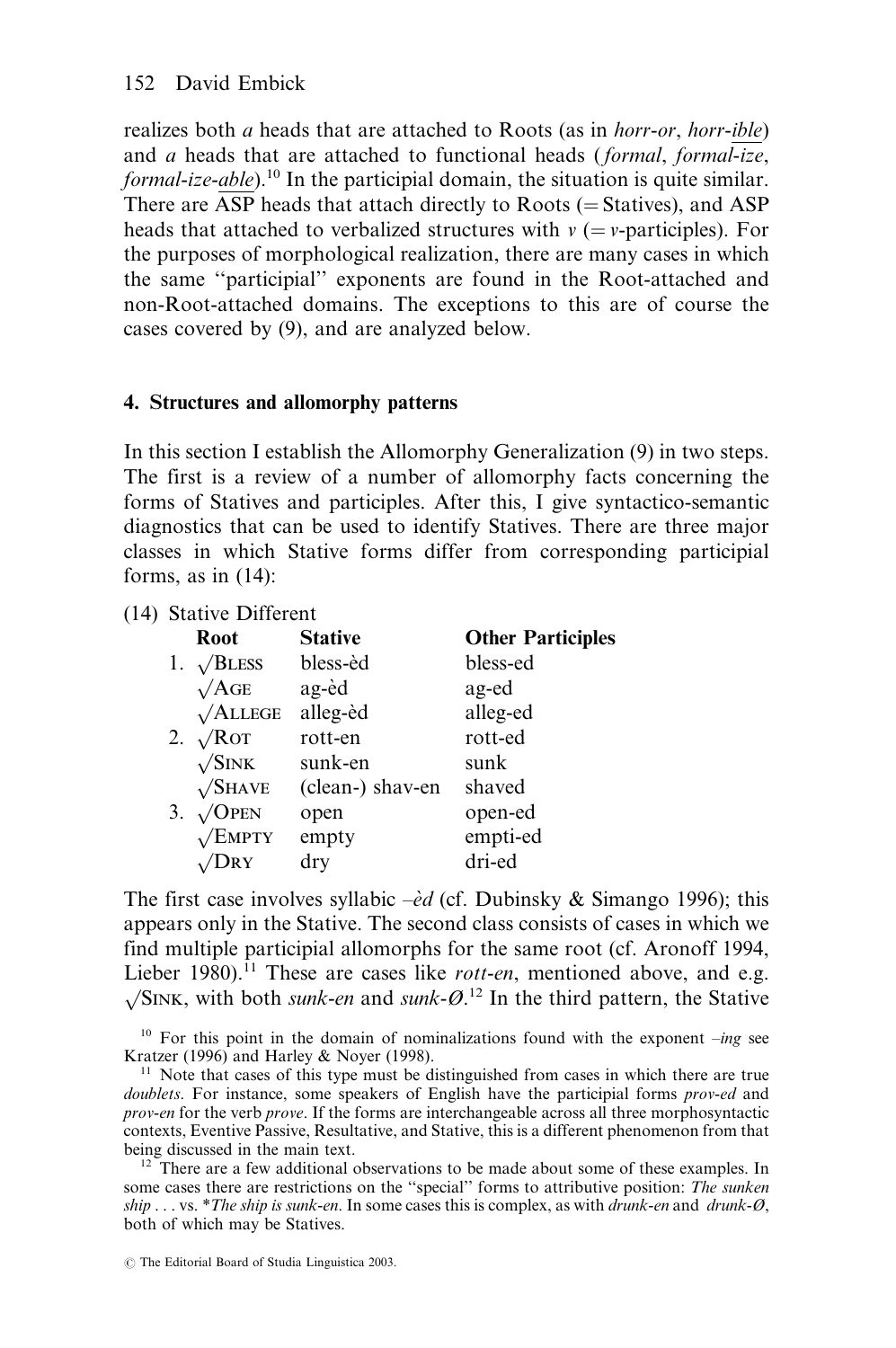realizes both *a* heads that are attached to Roots (as in *horr-or, horr-ible*) and a heads that are attached to functional heads (formal, formal- $ize$ ). formal-ize-able).<sup>10</sup> In the participial domain, the situation is quite similar. There are  $\overline{ASP}$  heads that attach directly to Roots (= Statives), and ASP heads that attached to verbalized structures with  $v (= v$ -participles). For the purposes of morphological realization, there are many cases in which the same "participial" exponents are found in the Root-attached and non-Root-attached domains. The exceptions to this are of course the cases covered by (9), and are analyzed below.

## 4. Structures and allomorphy patterns

In this section I establish the Allomorphy Generalization (9) in two steps. The first is a review of a number of allomorphy facts concerning the forms of Statives and participles. After this, I give syntactico-semantic diagnostics that can be used to identify Statives. There are three major classes in which Stative forms differ from corresponding participial forms, as in  $(14)$ :

## (14) Stative Different

|    | Root                     | <b>Stative</b>   | <b>Other Participles</b> |
|----|--------------------------|------------------|--------------------------|
|    | 1. $\sqrt{\text{BLESS}}$ | bless-èd         | bless-ed                 |
|    | $\sqrt{A}$ GE            | ag-èd            | ag-ed                    |
|    | $\sqrt{\text{ALLEGE}}$   | alleg-èd         | alleg-ed                 |
| 2. | $\sqrt{R}$ OT            | rott-en          | rott-ed                  |
|    | $\sqrt{SINK}$            | sunk-en          | sunk                     |
|    | $\sqrt{$ SHAVE           | (clean-) shav-en | shaved                   |
| 3. | $\sqrt{\text{OPEN}}$     | open             | open-ed                  |
|    | $\sqrt{EMPTY}$           | empty            | empti-ed                 |
|    | $\sqrt{DRY}$             | dry              | dri-ed                   |

The first case involves syllabic  $-\dot{e}d$  (cf. Dubinsky & Simango 1996); this appears only in the Stative. The second class consists of cases in which we find multiple participial allomorphs for the same root (cf. Aronoff 1994, Lieber 1980).<sup>11</sup> These are cases like *rott-en*, mentioned above, and e.g.  $\sqrt{SINK}$ , with both *sunk-en* and *sunk-* $\varnothing$ .<sup>12</sup> In the third pattern, the Stative

<sup>10</sup> For this point in the domain of nominalizations found with the exponent  $-ing$  see Kratzer (1996) and Harley & Nover (1998).

<sup>11</sup> Note that cases of this type must be distinguished from cases in which there are true *doublets*. For instance, some speakers of English have the participial forms *prov-ed* and prov-en for the verb prove. If the forms are interchangeable across all three morphosyntactic contexts, Eventive Passive, Resultative, and Stative, this is a different phenomenon from that being discussed in the main text.

 $12$ . There are a few additional observations to be made about some of these examples. In some cases there are restrictions on the "special" forms to attributive position: The sunken ship . . . vs. \* The ship is sunk-en. In some cases this is complex, as with drunk-en and drunk-Ø, both of which may be Statives.

<sup>©</sup> The Editorial Board of Studia Linguistica 2003.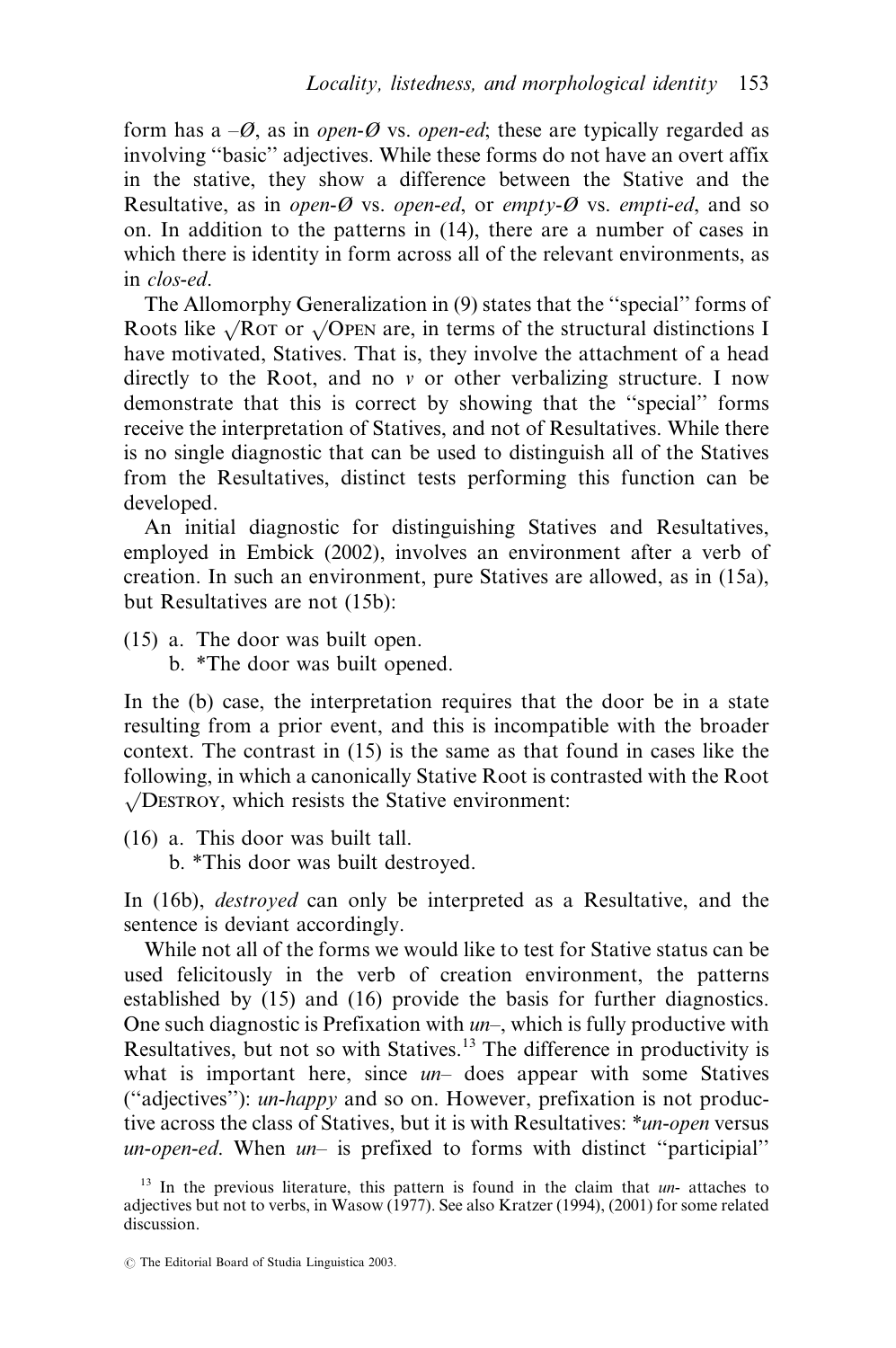form has a  $-\emptyset$ , as in *open-* $\emptyset$  vs. *open-ed*; these are typically regarded as involving "basic" adjectives. While these forms do not have an overt affix in the stative, they show a difference between the Stative and the Resultative, as in *open-* $\emptyset$  vs. *open-ed*, or *empty-* $\emptyset$  vs. *empti-ed*, and so on. In addition to the patterns in (14), there are a number of cases in which there is identity in form across all of the relevant environments, as in clos-ed.

The Allomorphy Generalization in (9) states that the "special" forms of Roots like  $\sqrt{ROT}$  or  $\sqrt{OPEN}$  are, in terms of the structural distinctions I have motivated, Statives. That is, they involve the attachment of a head directly to the Root, and no  $v$  or other verbalizing structure. I now demonstrate that this is correct by showing that the "special" forms receive the interpretation of Statives, and not of Resultatives. While there is no single diagnostic that can be used to distinguish all of the Statives from the Resultatives, distinct tests performing this function can be developed.

An initial diagnostic for distinguishing Statives and Resultatives, employed in Embick (2002), involves an environment after a verb of creation. In such an environment, pure Statives are allowed, as in (15a), but Resultatives are not (15b):

 $(15)$  a. The door was built open.

b. \*The door was built opened.

In the (b) case, the interpretation requires that the door be in a state resulting from a prior event, and this is incompatible with the broader context. The contrast in (15) is the same as that found in cases like the following, in which a canonically Stative Root is contrasted with the Root  $\sqrt{\text{Des}(\text{TROY})}$ , which resists the Stative environment:

(16) a. This door was built tall.

b. \*This door was built destroyed.

In (16b), *destroyed* can only be interpreted as a Resultative, and the sentence is deviant accordingly.

While not all of the forms we would like to test for Stative status can be used felicitously in the verb of creation environment, the patterns established by (15) and (16) provide the basis for further diagnostics. One such diagnostic is Prefixation with  $un$ -, which is fully productive with Resultatives, but not so with Statives.<sup>13</sup> The difference in productivity is what is important here, since  $un-$  does appear with some Statives ("adjectives"): *un-happy* and so on. However, prefixation is not productive across the class of Statives, but it is with Resultatives: \*un-open versus *un-open-ed.* When *un*- is prefixed to forms with distinct "participial"

 $13$  In the previous literature, this pattern is found in the claim that  $un-$  attaches to adjectives but not to verbs, in Wasow (1977). See also Kratzer (1994), (2001) for some related discussion.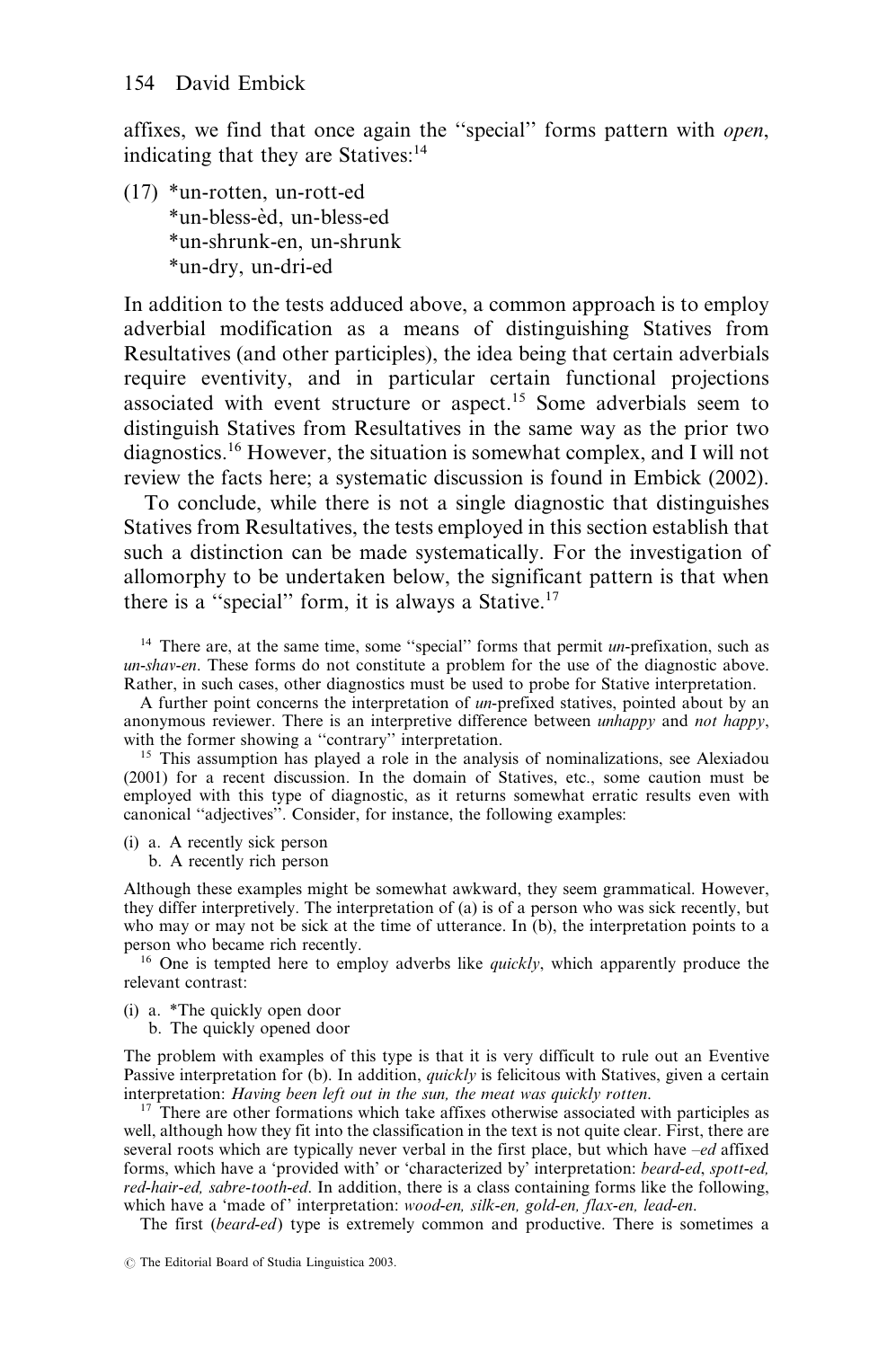affixes, we find that once again the "special" forms pattern with *open*, indicating that they are Statives:<sup>14</sup>

 $(17)$  \*un-rotten, un-rott-ed \*un-bless-èd, un-bless-ed \*un-shrunk-en. un-shrunk \*un-dry, un-dri-ed

In addition to the tests adduced above, a common approach is to employ adverbial modification as a means of distinguishing Statives from Resultatives (and other participles), the idea being that certain adverbials require eventivity, and in particular certain functional projections associated with event structure or aspect.<sup>15</sup> Some adverbials seem to distinguish Statives from Resultatives in the same way as the prior two diagnostics.<sup>16</sup> However, the situation is somewhat complex, and I will not review the facts here; a systematic discussion is found in Embick (2002).

To conclude, while there is not a single diagnostic that distinguishes Statives from Resultatives, the tests employed in this section establish that such a distinction can be made systematically. For the investigation of allomorphy to be undertaken below, the significant pattern is that when there is a "special" form, it is always a Stative.<sup>17</sup>

<sup>14</sup> There are, at the same time, some "special" forms that permit  $un$ -prefixation, such as un-shav-en. These forms do not constitute a problem for the use of the diagnostic above. Rather, in such cases, other diagnostics must be used to probe for Stative interpretation.

A further point concerns the interpretation of *un*-prefixed statives, pointed about by an anonymous reviewer. There is an interpretive difference between unhappy and not happy, with the former showing a "contrary" interpretation.

<sup>15</sup> This assumption has played a role in the analysis of nominalizations, see Alexiadou (2001) for a recent discussion. In the domain of Statives, etc., some caution must be employed with this type of diagnostic, as it returns somewhat erratic results even with canonical "adjectives". Consider, for instance, the following examples:

(i) a. A recently sick person

b. A recently rich person

Although these examples might be somewhat awkward, they seem grammatical. However, they differ interpretively. The interpretation of (a) is of a person who was sick recently, but who may or may not be sick at the time of utterance. In (b), the interpretation points to a person who became rich recently.

 $16$  One is tempted here to employ adverbs like *quickly*, which apparently produce the relevant contrast:

(i) a.  $*$ The quickly open door

b. The quickly opened door

The problem with examples of this type is that it is very difficult to rule out an Eventive Passive interpretation for (b). In addition, *quickly* is felicitous with Statives, given a certain interpretation: Having been left out in the sun, the meat was quickly rotten.

 $17$  There are other formations which take affixes otherwise associated with participles as well, although how they fit into the classification in the text is not quite clear. First, there are several roots which are typically never verbal in the first place, but which have -ed affixed forms, which have a 'provided with' or 'characterized by' interpretation: beard-ed, spott-ed, red-hair-ed, sabre-tooth-ed. In addition, there is a class containing forms like the following, which have a 'made of' interpretation: wood-en, silk-en, gold-en, flax-en, lead-en.

The first (beard-ed) type is extremely common and productive. There is sometimes a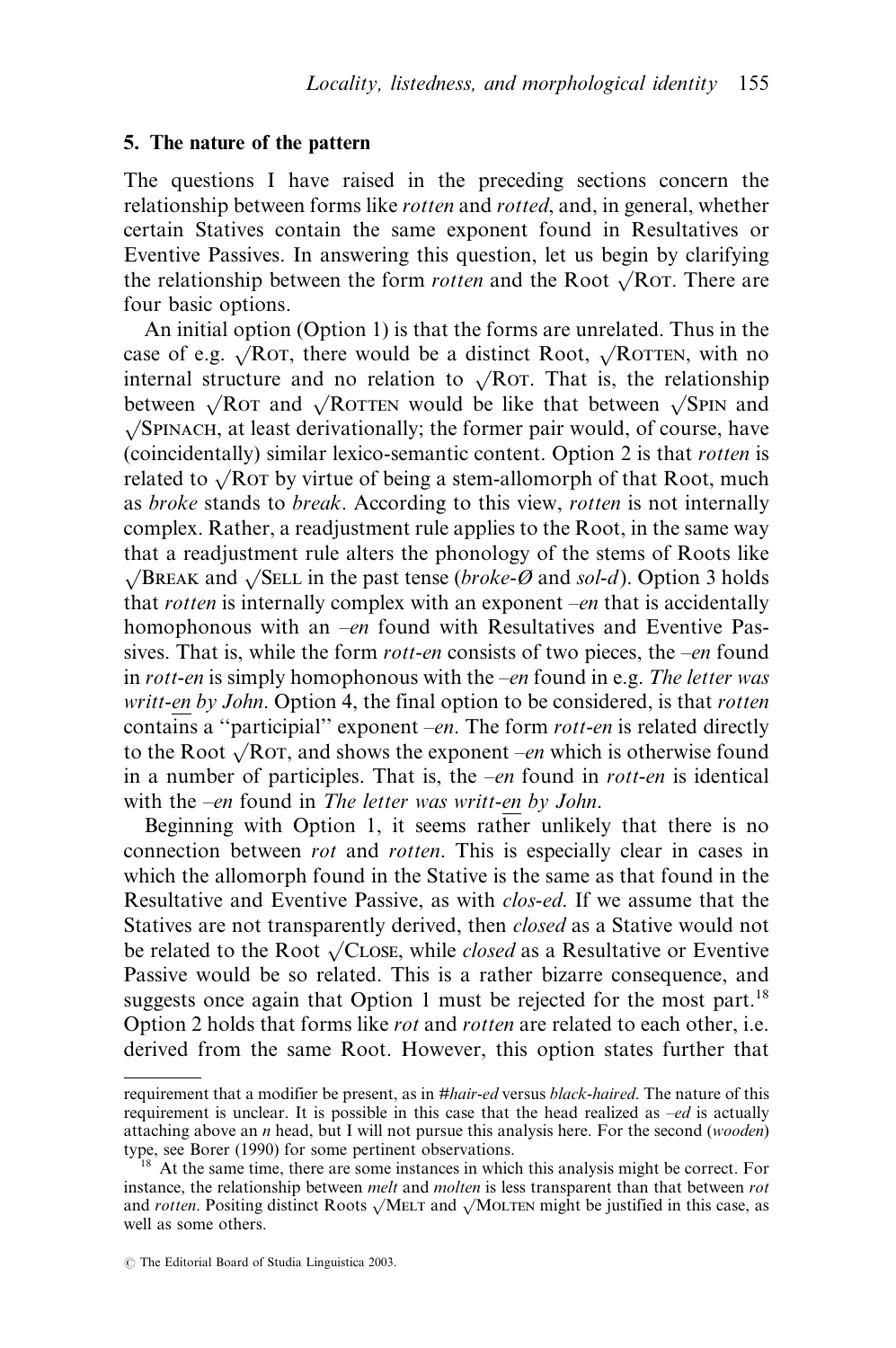#### 5. The nature of the pattern

The questions I have raised in the preceding sections concern the relationship between forms like *rotten* and *rotted*, and, in general, whether certain Statives contain the same exponent found in Resultatives or Eventive Passives. In answering this question, let us begin by clarifying the relationship between the form *rotten* and the Root  $\sqrt{R}$ OT. There are four basic options.

An initial option (Option 1) is that the forms are unrelated. Thus in the case of e.g.  $\sqrt{R}$ OT, there would be a distinct Root,  $\sqrt{R}$ OTTEN, with no internal structure and no relation to  $\sqrt{R}$ , That is, the relationship between  $\sqrt{R}$  and  $\sqrt{R}$  or TEN would be like that between  $\sqrt{S}$ PIN and √SPINACH, at least derivationally; the former pair would, of course, have (coincidentally) similar lexico-semantic content. Option 2 is that rotten is related to  $\sqrt{R}$  or by virtue of being a stem-allomorph of that Root, much as broke stands to break. According to this view, rotten is not internally complex. Rather, a readiustment rule applies to the Root, in the same way that a readjustment rule alters the phonology of the stems of Roots like  $\sqrt{\text{B}}$ REAK and  $\sqrt{\text{S}}$ ELL in the past tense (*broke-Ø* and *sol-d*). Option 3 holds that *rotten* is internally complex with an exponent  $-en$  that is accidentally homophonous with an  $-en$  found with Resultatives and Eventive Passives. That is, while the form *rott-en* consists of two pieces, the  $-en$  found in rott-en is simply homophonous with the  $-en$  found in e.g. The letter was writt-en by John. Option 4, the final option to be considered, is that rotten contains a "participial" exponent  $-en$ . The form *rott-en* is related directly to the Root  $\sqrt{R}$  and shows the exponent  $-en$  which is otherwise found in a number of participles. That is, the  $-en$  found in *rott-en* is identical with the  $-en$  found in The letter was writt-en by John.

Beginning with Option 1, it seems rather unlikely that there is no connection between *rot* and *rotten*. This is especially clear in cases in which the allomorph found in the Stative is the same as that found in the Resultative and Eventive Passive, as with *clos-ed*. If we assume that the Statives are not transparently derived, then *closed* as a Stative would not be related to the Root  $\sqrt{\text{CLOSE}}$ , while *closed* as a Resultative or Eventive Passive would be so related. This is a rather bizarre consequence, and suggests once again that Option 1 must be rejected for the most part.<sup>18</sup> Option 2 holds that forms like *rot* and *rotten* are related to each other, *i.e.* derived from the same Root. However, this option states further that

requirement that a modifier be present, as in #hair-ed versus black-haired. The nature of this requirement is unclear. It is possible in this case that the head realized as  $-ed$  is actually attaching above an *n* head, but I will not pursue this analysis here. For the second (*wooden*) type, see Borer (1990) for some pertinent observations.

<sup>&</sup>lt;sup>18</sup> At the same time, there are some instances in which this analysis might be correct. For instance, the relationship between *melt* and *molten* is less transparent than that between *rot* and *rotten*. Positing distinct Roots  $\sqrt{\text{MELT}}$  and  $\sqrt{\text{MOLTEN}}$  might be justified in this case, as well as some others.

<sup>©</sup> The Editorial Board of Studia Linguistica 2003.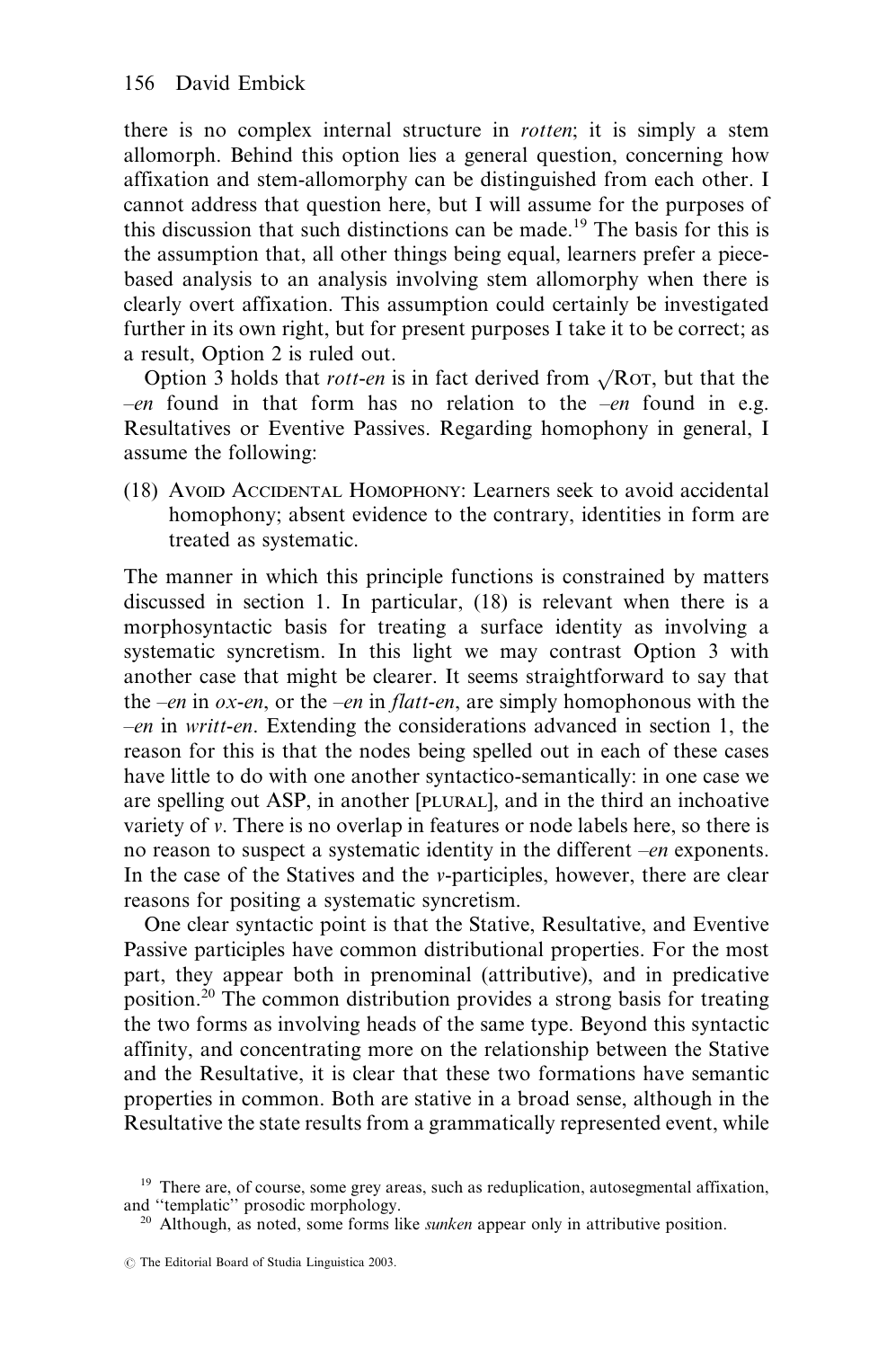there is no complex internal structure in *rotten*; it is simply a stem allomorph. Behind this option lies a general question, concerning how affixation and stem-allomorphy can be distinguished from each other. I cannot address that question here, but I will assume for the purposes of this discussion that such distinctions can be made.<sup>19</sup> The basis for this is the assumption that, all other things being equal, learners prefer a piecebased analysis to an analysis involving stem allomorphy when there is clearly overt affixation. This assumption could certainly be investigated further in its own right, but for present purposes I take it to be correct; as a result, Option 2 is ruled out.

Option 3 holds that *rott-en* is in fact derived from  $\sqrt{ROT}$ , but that the  $-en$  found in that form has no relation to the  $-en$  found in e.g. Resultatives or Eventive Passives. Regarding homophony in general, I assume the following:

(18) AVOID ACCIDENTAL HOMOPHONY: Learners seek to avoid accidental homophony; absent evidence to the contrary, identities in form are treated as systematic.

The manner in which this principle functions is constrained by matters discussed in section 1. In particular, (18) is relevant when there is a morphosyntactic basis for treating a surface identity as involving a systematic syncretism. In this light we may contrast Option 3 with another case that might be clearer. It seems straightforward to say that the  $-en$  in  $ox-en$ , or the  $-en$  in *flatt-en*, are simply homophonous with the  $-en$  in writt-en. Extending the considerations advanced in section 1, the reason for this is that the nodes being spelled out in each of these cases have little to do with one another syntactico-semantically: in one case we are spelling out ASP, in another [PLURAL], and in the third an inchoative variety of v. There is no overlap in features or node labels here, so there is no reason to suspect a systematic identity in the different  $-en$  exponents. In the case of the Statives and the *v*-participles, however, there are clear reasons for positing a systematic syncretism.

One clear syntactic point is that the Stative, Resultative, and Eventive Passive participles have common distributional properties. For the most part, they appear both in prenominal (attributive), and in predicative position.<sup>20</sup> The common distribution provides a strong basis for treating the two forms as involving heads of the same type. Beyond this syntactic affinity, and concentrating more on the relationship between the Stative and the Resultative, it is clear that these two formations have semantic properties in common. Both are stative in a broad sense, although in the Resultative the state results from a grammatically represented event, while

<sup>&</sup>lt;sup>19</sup> There are, of course, some grey areas, such as reduplication, autosegmental affixation, and "templatic" prosodic morphology.

<sup>&</sup>lt;sup>20</sup> Although, as noted, some forms like *sunken* appear only in attributive position.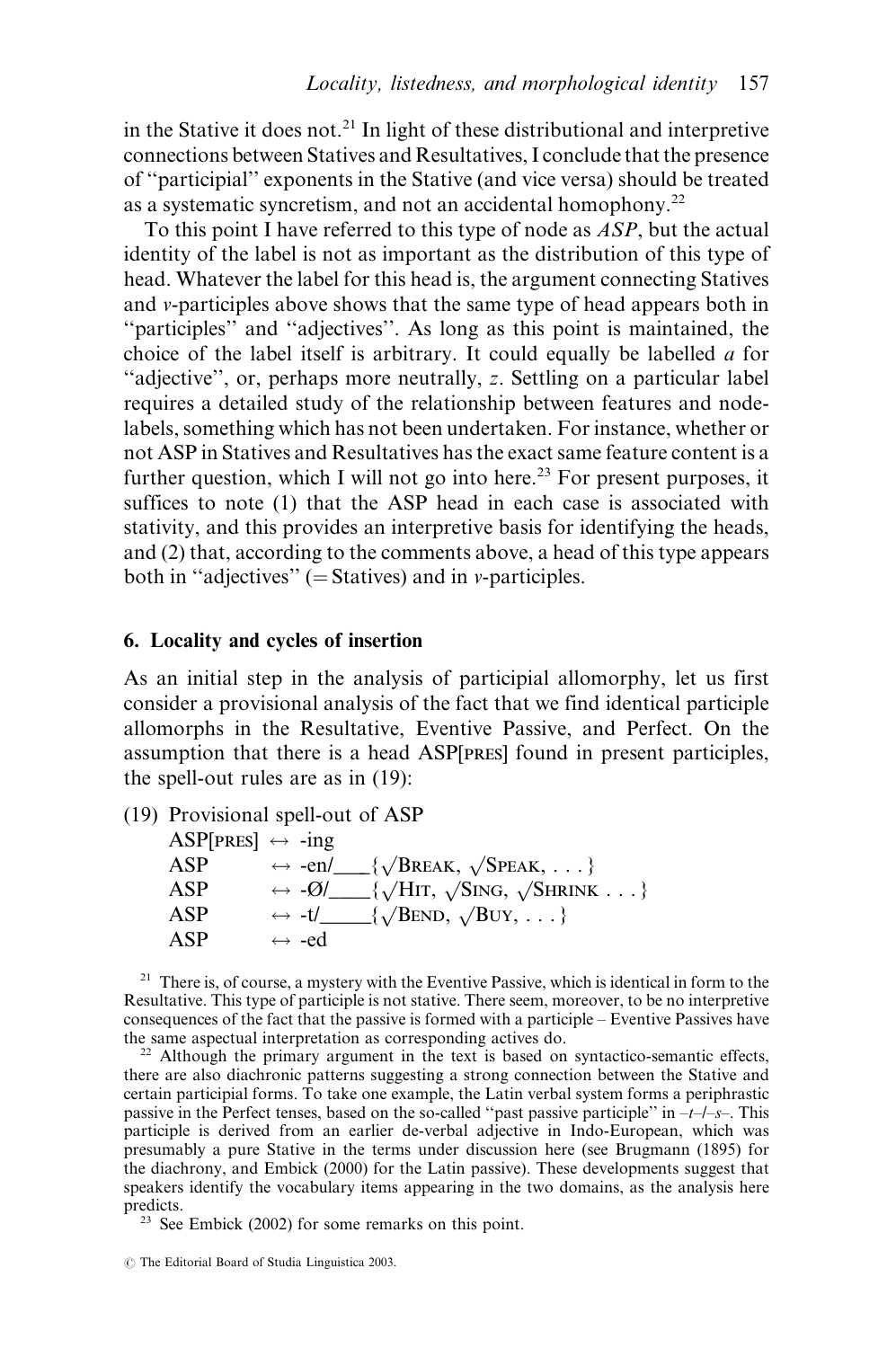in the Stative it does not.<sup>21</sup> In light of these distributional and interpretive connections between Statives and Resultatives, I conclude that the presence of "participial" exponents in the Stative (and vice versa) should be treated as a systematic syncretism, and not an accidental homophony.<sup>22</sup>

To this point I have referred to this type of node as ASP, but the actual identity of the label is not as important as the distribution of this type of head. Whatever the label for this head is, the argument connecting Statives and *v*-participles above shows that the same type of head appears both in "participles" and "adjectives". As long as this point is maintained, the choice of the label itself is arbitrary. It could equally be labelled  $a$  for "adjective", or, perhaps more neutrally, z. Settling on a particular label requires a detailed study of the relationship between features and nodelabels, something which has not been undertaken. For instance, whether or not ASP in Statives and Resultatives has the exact same feature content is a further question, which I will not go into here.<sup>23</sup> For present purposes, it suffices to note (1) that the ASP head in each case is associated with stativity, and this provides an interpretive basis for identifying the heads, and (2) that, according to the comments above, a head of this type appears both in "adjectives" (= Statives) and in  $\nu$ -participles.

#### 6. Locality and cycles of insertion

As an initial step in the analysis of participial allomorphy, let us first consider a provisional analysis of the fact that we find identical participle allomorphs in the Resultative, Eventive Passive, and Perfect. On the assumption that there is a head ASP[PRES] found in present participles, the spell-out rules are as in  $(19)$ :

(19) Provisional spell-out of ASP

| $ASP[PRS] \leftrightarrow -ing$ |                                                                              |
|---------------------------------|------------------------------------------------------------------------------|
| ASP                             | $\leftrightarrow$ -en/ $\{\sqrt{\text{BREAK}}, \sqrt{\text{SPEAK}}, \dots\}$ |
| ASP                             | $\leftrightarrow$ -Ø/____{ $\sqrt{H}$ IT, $\sqrt{S}$ ING, $\sqrt{S}$ HRINK } |
| ASP                             | $\leftrightarrow -t/\_\_\_\$ { $\sqrt{B}$ END, $\sqrt{B}$ UY, }              |
| ASP                             | $\leftrightarrow$ -ed                                                        |
|                                 |                                                                              |

<sup>21</sup> There is, of course, a mystery with the Eventive Passive, which is identical in form to the Resultative. This type of participle is not stative. There seem, moreover, to be no interpretive consequences of the fact that the passive is formed with a participle – Eventive Passives have the same aspectual interpretation as corresponding actives do.

<sup>22</sup> Although the primary argument in the text is based on syntactico-semantic effects, there are also diachronic patterns suggesting a strong connection between the Stative and certain participial forms. To take one example, the Latin verbal system forms a periphrastic passive in the Perfect tenses, based on the so-called "past passive participle" in  $-t$ - $s$ - This participle is derived from an earlier de-verbal adjective in Indo-European, which was presumably a pure Stative in the terms under discussion here (see Brugmann (1895) for the diachrony, and Embick (2000) for the Latin passive). These developments suggest that speakers identify the vocabulary items appearing in the two domains, as the analysis here predicts.

<sup>23</sup> See Embick (2002) for some remarks on this point.

<sup>©</sup> The Editorial Board of Studia Linguistica 2003.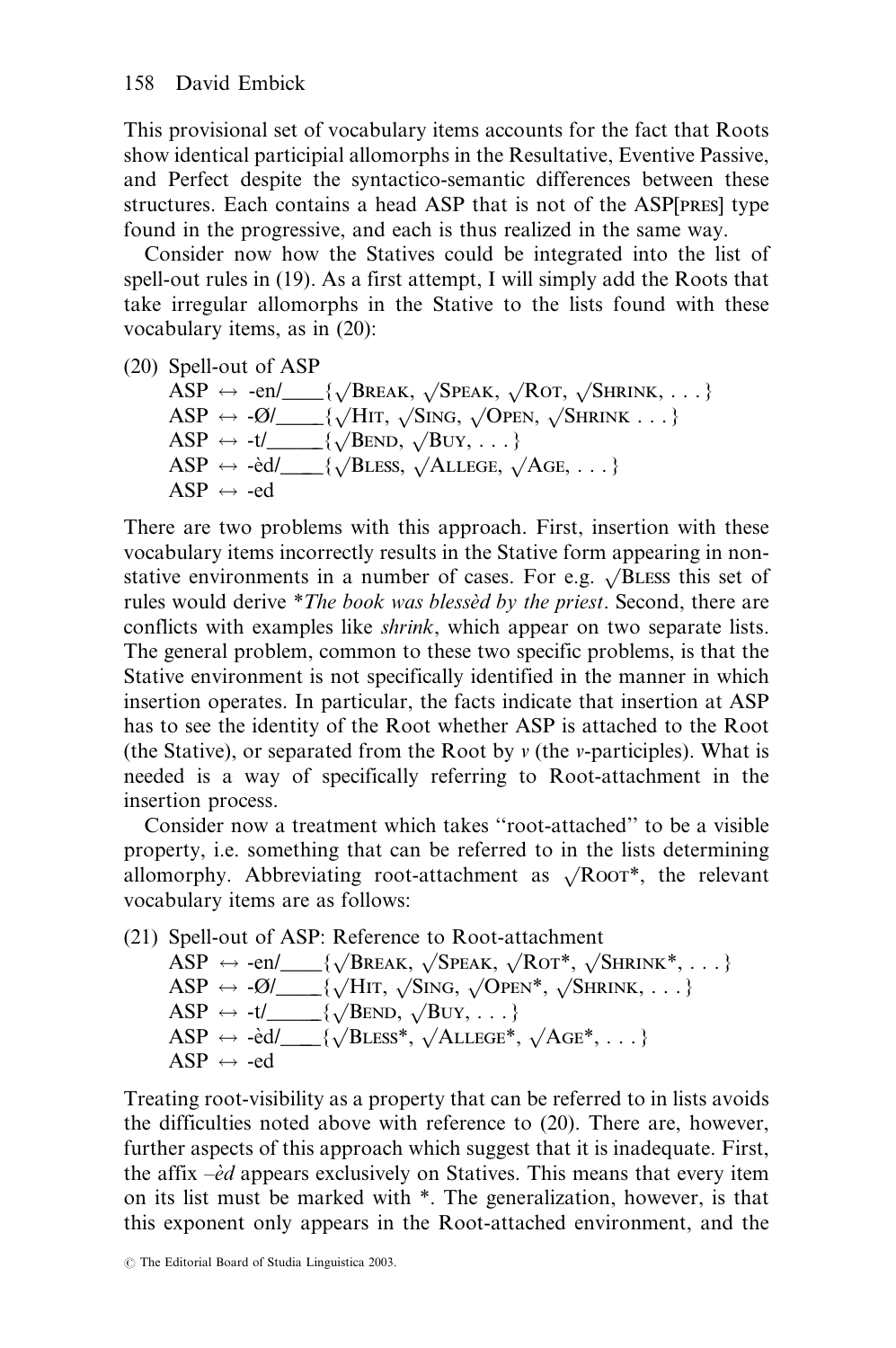This provisional set of vocabulary items accounts for the fact that Roots show identical participial allomorphs in the Resultative, Eventive Passive, and Perfect despite the syntactico-semantic differences between these structures. Each contains a head ASP that is not of the ASP[PRES] type found in the progressive, and each is thus realized in the same way.

Consider now how the Statives could be integrated into the list of spell-out rules in (19). As a first attempt, I will simply add the Roots that take irregular allomorphs in the Stative to the lists found with these vocabulary items, as in (20):

(20) Spell-out of ASP

ASP  $\leftrightarrow -t/\_$  { $\sqrt{BEND}$ ,  $\sqrt{BUY}$ , ...} ASP  $\leftrightarrow$  -ed/  $\angle$  {  $\sqrt{\text{BLESS}}$ ,  $\sqrt{\text{ALEGE}}$ ,  $\sqrt{\text{AGE}}$ , ...} ASP  $\leftrightarrow$  -ed

There are two problems with this approach. First, insertion with these vocabulary items incorrectly results in the Stative form appearing in nonstative environments in a number of cases. For e.g.  $\sqrt{\text{B}$  External state of rules would derive \*The book was blessed by the priest. Second, there are conflicts with examples like *shrink*, which appear on two separate lists. The general problem, common to these two specific problems, is that the Stative environment is not specifically identified in the manner in which insertion operates. In particular, the facts indicate that insertion at ASP has to see the identity of the Root whether ASP is attached to the Root (the Stative), or separated from the Root by  $\nu$  (the  $\nu$ -participles). What is needed is a way of specifically referring to Root-attachment in the insertion process.

Consider now a treatment which takes "root-attached" to be a visible property, *i.e.* something that can be referred to in the lists determining allomorphy. Abbreviating root-attachment as  $\sqrt{R}$ 00T\*, the relevant vocabulary items are as follows:

(21) Spell-out of ASP: Reference to Root-attachment ASP  $\leftrightarrow$  -en/  $\bigcup$  {  $\sqrt{\text{BREAK}}$ ,  $\sqrt{\text{SPEAK}}$ ,  $\sqrt{\text{ROT}}^*$ ,  $\sqrt{\text{SHRINK}}^*$ , ...} ASP  $\leftrightarrow$  -ed

Treating root-visibility as a property that can be referred to in lists avoids the difficulties noted above with reference to (20). There are, however, further aspects of this approach which suggest that it is inadequate. First, the affix  $-\dot{e}d$  appears exclusively on Statives. This means that every item on its list must be marked with \*. The generalization, however, is that this exponent only appears in the Root-attached environment, and the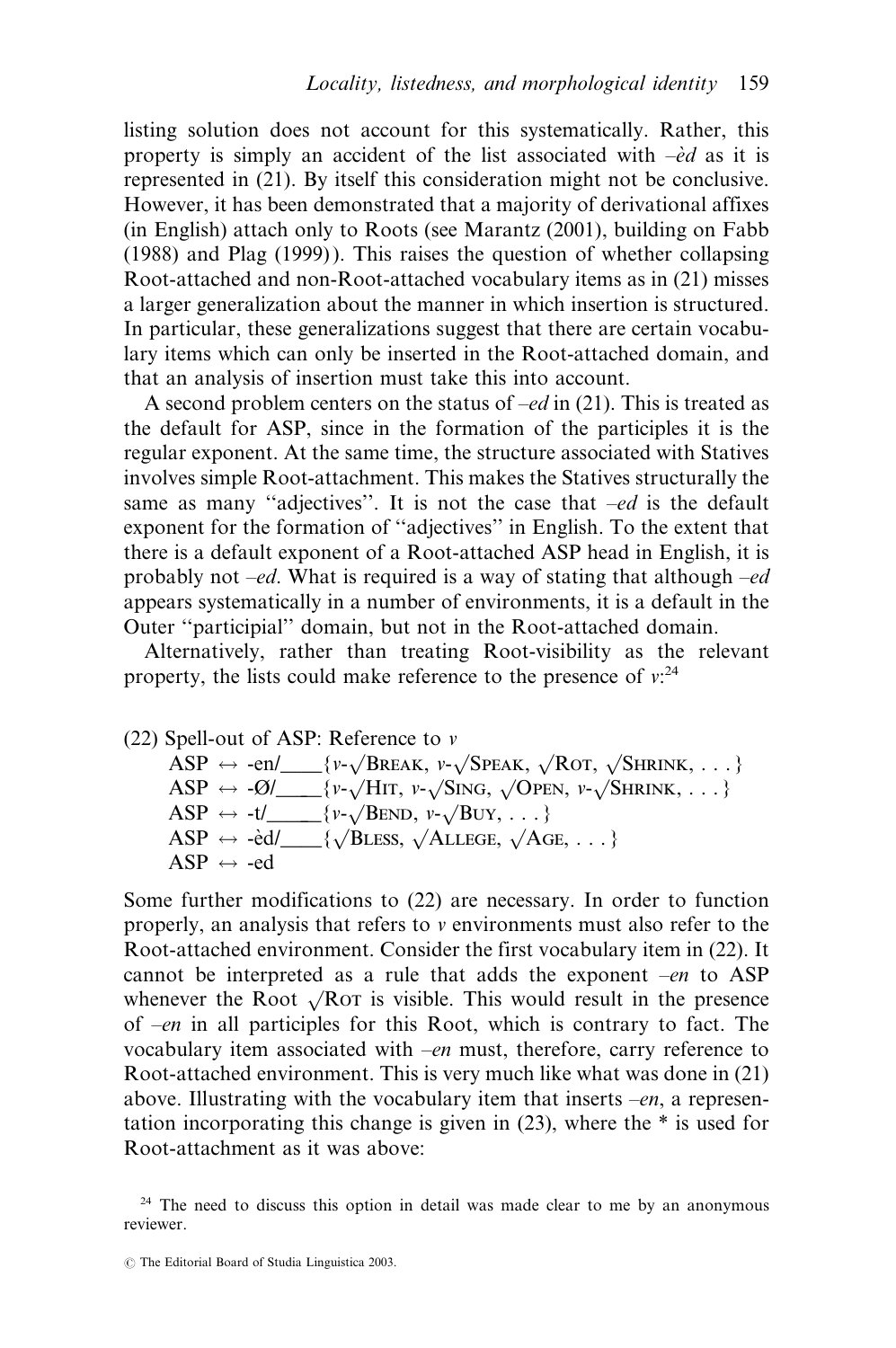listing solution does not account for this systematically. Rather, this property is simply an accident of the list associated with  $-\dot{e}d$  as it is represented in (21). By itself this consideration might not be conclusive. However, it has been demonstrated that a majority of derivational affixes (in English) attach only to Roots (see Marantz (2001), building on Fabb  $(1988)$  and Plag  $(1999)$ ). This raises the question of whether collapsing Root-attached and non-Root-attached vocabulary items as in (21) misses a larger generalization about the manner in which insertion is structured. In particular, these generalizations suggest that there are certain vocabulary items which can only be inserted in the Root-attached domain, and that an analysis of insertion must take this into account.

A second problem centers on the status of  $-e$ d in (21). This is treated as the default for ASP, since in the formation of the participles it is the regular exponent. At the same time, the structure associated with Statives involves simple Root-attachment. This makes the Statives structurally the same as many "adjectives". It is not the case that  $-ed$  is the default exponent for the formation of "adjectives" in English. To the extent that there is a default exponent of a Root-attached ASP head in English, it is probably not  $-ed$ . What is required is a way of stating that although  $-ed$ appears systematically in a number of environments, it is a default in the Outer "participial" domain, but not in the Root-attached domain.

Alternatively, rather than treating Root-visibility as the relevant property, the lists could make reference to the presence of  $v^{24}$ 

(22) Spell-out of ASP: Reference to  $v$ 

- 
- ASP  $\leftrightarrow -\emptyset/\_\_\$  {v- $\sqrt{\text{HIT}}$ , v- $\sqrt{\text{SING}}$ ,  $\sqrt{\text{OPEN}}$ , v- $\sqrt{\text{SHRINK}}$ , ...}

ASP  $\leftrightarrow$  -t/  $\overline{\{v-\sqrt{\text{BEND, v}-\sqrt{\text{BUY, ...}}\}}$ <br>ASP  $\leftrightarrow$  -ed/  $\overline{\{\sqrt{\text{BLES, \sqrt{\text{ALEGE, \sqrt{\text{AGE, ...}}}}\}}\}}$ 

Some further modifications to (22) are necessary. In order to function properly, an analysis that refers to  $\nu$  environments must also refer to the Root-attached environment. Consider the first vocabulary item in (22). It cannot be interpreted as a rule that adds the exponent  $-en$  to ASP whenever the Root  $\sqrt{R}$  at is visible. This would result in the presence of  $-en$  in all participles for this Root, which is contrary to fact. The vocabulary item associated with  $-en$  must, therefore, carry reference to Root-attached environment. This is very much like what was done in (21) above. Illustrating with the vocabulary item that inserts  $-en$ , a representation incorporating this change is given in  $(23)$ , where the  $*$  is used for Root-attachment as it was above:

 $ASP \leftrightarrow -ed$ 

<sup>&</sup>lt;sup>24</sup> The need to discuss this option in detail was made clear to me by an anonymous reviewer.

<sup>©</sup> The Editorial Board of Studia Linguistica 2003.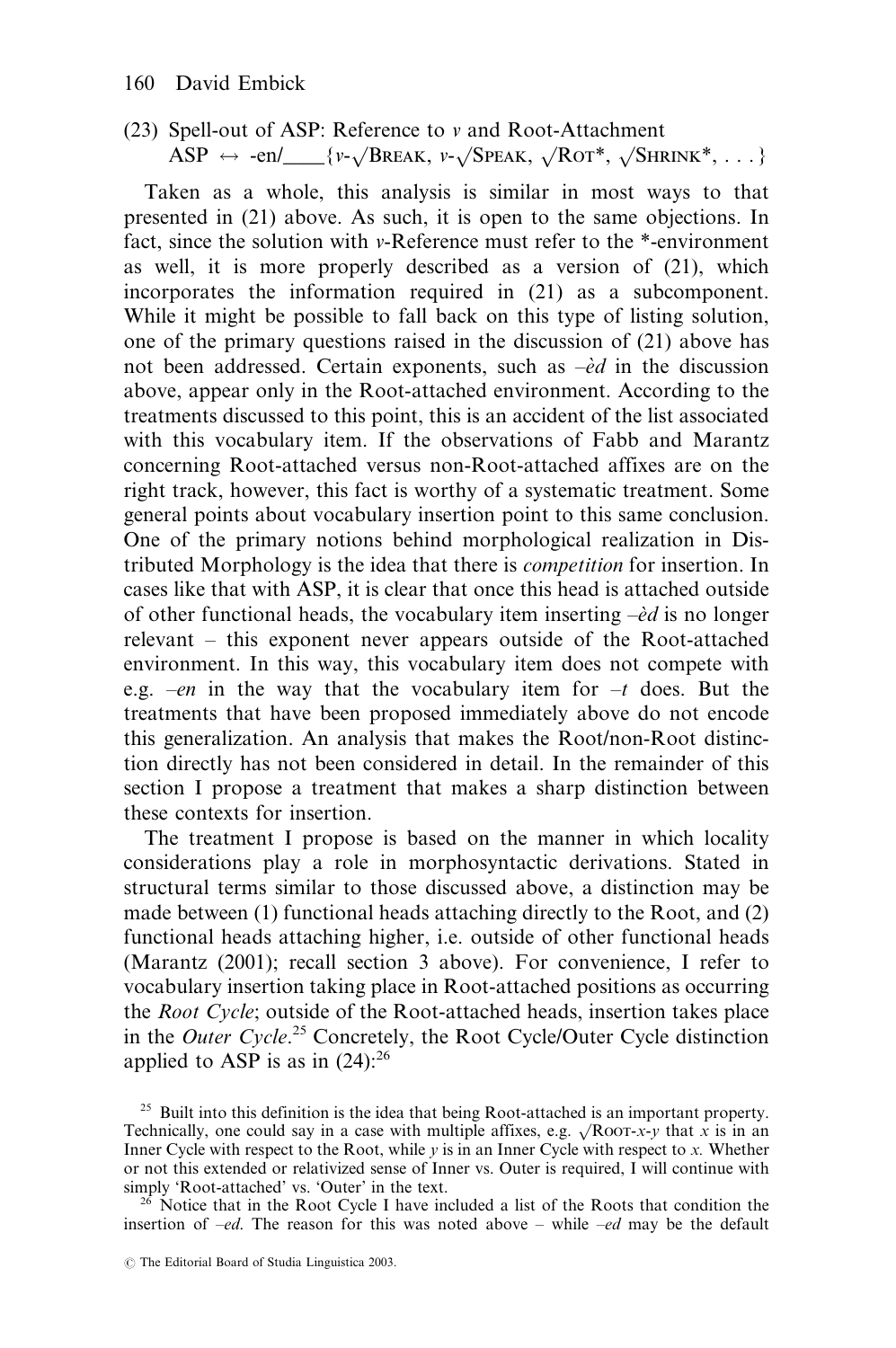(23) Spell-out of ASP: Reference to  $v$  and Root-Attachment ASP  $\leftrightarrow$  -en/  $\left\{v\right\}$  /BREAK,  $v\left\{$  /SPEAK,  $\sqrt{ROT^*}$ ,  $\sqrt{SHRINK^*}$ , ...

Taken as a whole, this analysis is similar in most ways to that presented in (21) above. As such, it is open to the same objections. In fact, since the solution with  $\nu$ -Reference must refer to the  $*$ -environment as well, it is more properly described as a version of (21), which incorporates the information required in (21) as a subcomponent. While it might be possible to fall back on this type of listing solution, one of the primary questions raised in the discussion of (21) above has not been addressed. Certain exponents, such as  $-\dot{e}d$  in the discussion above, appear only in the Root-attached environment. According to the treatments discussed to this point, this is an accident of the list associated with this vocabulary item. If the observations of Fabb and Marantz concerning Root-attached versus non-Root-attached affixes are on the right track, however, this fact is worthy of a systematic treatment. Some general points about vocabulary insertion point to this same conclusion. One of the primary notions behind morphological realization in Distributed Morphology is the idea that there is *competition* for insertion. In cases like that with ASP, it is clear that once this head is attached outside of other functional heads, the vocabulary item inserting  $-\dot{e}d$  is no longer relevant – this exponent never appears outside of the Root-attached environment. In this way, this vocabulary item does not compete with e.g.  $-en$  in the way that the vocabulary item for  $-t$  does. But the treatments that have been proposed immediately above do not encode this generalization. An analysis that makes the Root/non-Root distinction directly has not been considered in detail. In the remainder of this section I propose a treatment that makes a sharp distinction between these contexts for insertion.

The treatment I propose is based on the manner in which locality considerations play a role in morphosyntactic derivations. Stated in structural terms similar to those discussed above, a distinction may be made between (1) functional heads attaching directly to the Root, and (2) functional heads attaching higher, i.e. outside of other functional heads (Marantz (2001); recall section 3 above). For convenience, I refer to vocabulary insertion taking place in Root-attached positions as occurring the *Root Cycle*; outside of the Root-attached heads, insertion takes place in the *Outer Cycle*.<sup>25</sup> Concretely, the Root Cycle/Outer Cycle distinction applied to ASP is as in  $(24)$ :<sup>26</sup>

 $26$  Notice that in the Root Cycle I have included a list of the Roots that condition the insertion of  $-ed$ . The reason for this was noted above – while  $-ed$  may be the default

 $^{25}$  Built into this definition is the idea that being Root-attached is an important property. Technically, one could say in a case with multiple affixes, e.g.  $\sqrt{\text{Root-}x}$  that x is in an Inner Cycle with respect to the Root, while  $y$  is in an Inner Cycle with respect to  $x$ . Whether or not this extended or relativized sense of Inner vs. Outer is required, I will continue with simply 'Root-attached' vs. 'Outer' in the text.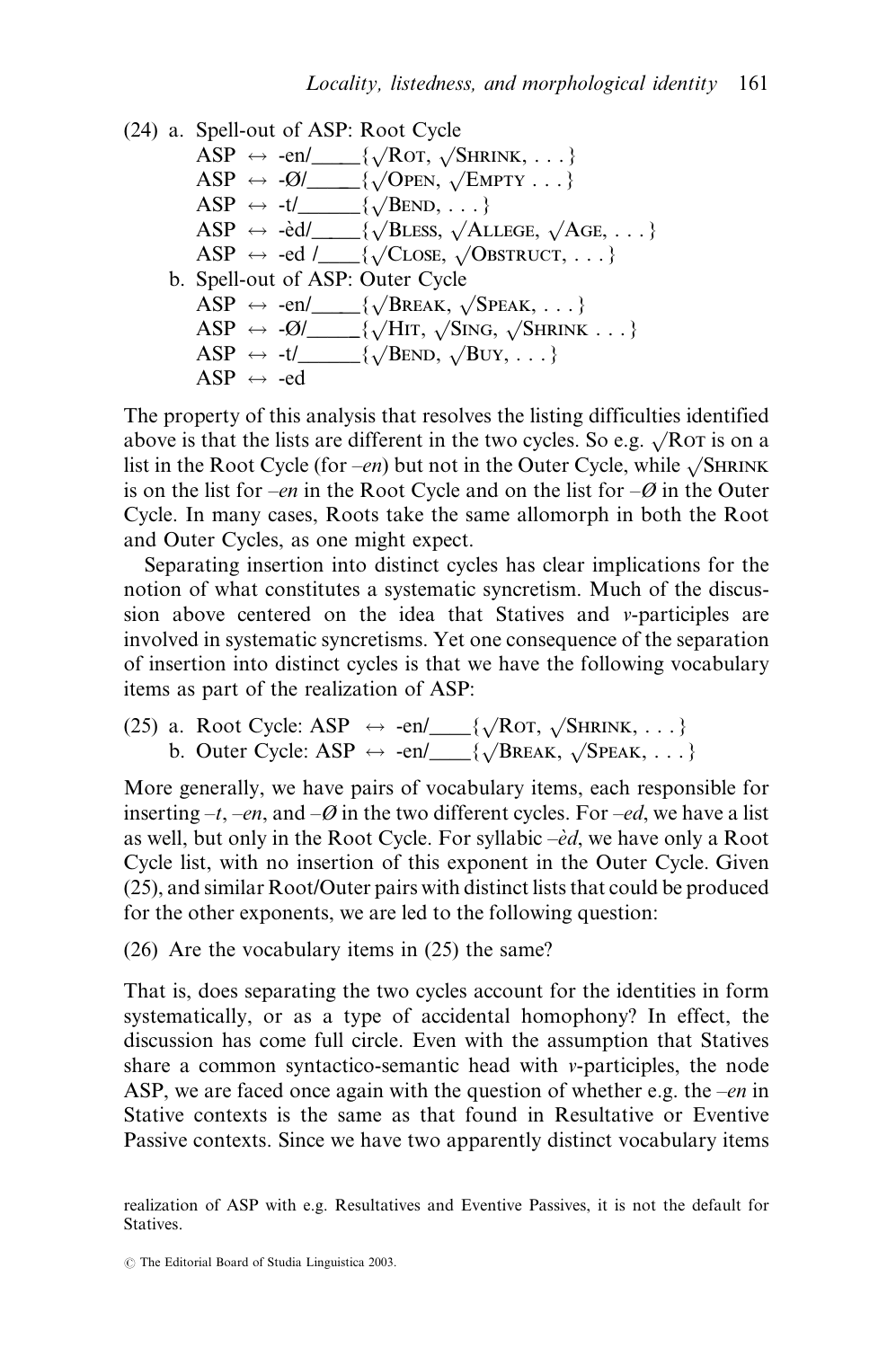```
(24) a. Spell-out of ASP: Root Cycle
           ASP \leftrightarrow -en/ \left\{\sqrt{\text{ROT}}, \sqrt{\text{SHRINK}}, \dots\right\}ASP \leftrightarrow -èd/ \overline{\bigvee_{\text{EESS, }\sqrt{\text{ALEGE, }\sqrt{\text{AGE, }\cdots\text{}}}<br>ASP \leftrightarrow -ed / \overline{\bigvee_{\text{ACE, }\sqrt{\text{OBSTRUCT, }\cdots\text{}}}b. Spell-out of ASP: Outer Cycle
          ASP \leftrightarrow -en/ \left\{\sqrt{\text{BREAK}, \sqrt{\text{SPEAK}}, \dots\right\}ASP \leftrightarrow -t/\_ {\sqrt{\text{BEND}}, \sqrt{\text{BUY}}, ...}
           ASP \leftrightarrow -ed
```
The property of this analysis that resolves the listing difficulties identified above is that the lists are different in the two cycles. So e.g.  $\sqrt{ROT}$  is on a list in the Root Cycle (for  $-en$ ) but not in the Outer Cycle, while  $\sqrt{\text{SHRINK}}$ is on the list for  $-en$  in the Root Cycle and on the list for  $-\varnothing$  in the Outer Cycle. In many cases, Roots take the same allomorph in both the Root and Outer Cycles, as one might expect.

Separating insertion into distinct cycles has clear implications for the notion of what constitutes a systematic syncretism. Much of the discussion above centered on the idea that Statives and v-participles are involved in systematic syncretisms. Yet one consequence of the separation of insertion into distinct cycles is that we have the following vocabulary items as part of the realization of ASP:

(25) a. Root Cycle: ASP  $\leftrightarrow$  -en/  $\sqrt{x}$  ( $\sqrt{x}$  ( $\sqrt{x}$ ) ARINK, ... }<br>b. Outer Cycle: ASP  $\leftrightarrow$  -en/  $\sqrt{x}$  ( $\sqrt{x}$ ) BREAK,  $\sqrt{x}$ ) SPEAK, ... }

More generally, we have pairs of vocabulary items, each responsible for inserting  $-t$ ,  $-en$ , and  $-\emptyset$  in the two different cycles. For  $-ed$ , we have a list as well, but only in the Root Cycle. For syllabic  $-\dot{e}d$ , we have only a Root Cycle list, with no insertion of this exponent in the Outer Cycle. Given (25), and similar Root/Outer pairs with distinct lists that could be produced for the other exponents, we are led to the following question:

 $(26)$  Are the vocabulary items in  $(25)$  the same?

That is, does separating the two cycles account for the identities in form systematically, or as a type of accidental homophony? In effect, the discussion has come full circle. Even with the assumption that Statives share a common syntactico-semantic head with v-participles, the node ASP, we are faced once again with the question of whether e.g. the  $-en$  in Stative contexts is the same as that found in Resultative or Eventive Passive contexts. Since we have two apparently distinct vocabulary items

realization of ASP with e.g. Resultatives and Eventive Passives, it is not the default for Statives.

<sup>©</sup> The Editorial Board of Studia Linguistica 2003.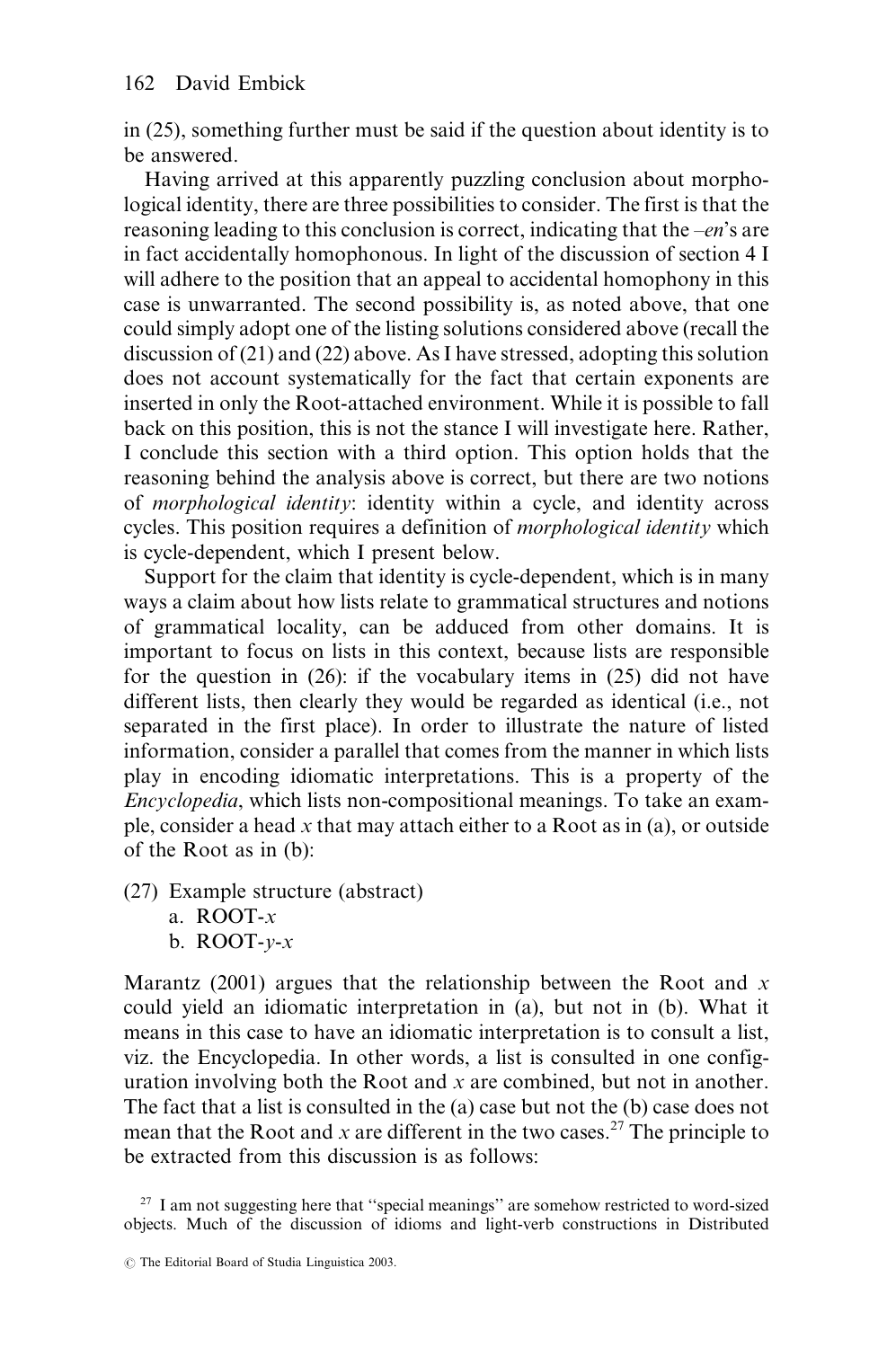in  $(25)$ , something further must be said if the question about identity is to be answered.

Having arrived at this apparently puzzling conclusion about morphological identity, there are three possibilities to consider. The first is that the reasoning leading to this conclusion is correct, indicating that the  $-en's$  are in fact accidentally homophonous. In light of the discussion of section 4 I will adhere to the position that an appeal to accidental homophony in this case is unwarranted. The second possibility is, as noted above, that one could simply adopt one of the listing solutions considered above (recall the discussion of  $(21)$  and  $(22)$  above. As I have stressed, adopting this solution does not account systematically for the fact that certain exponents are inserted in only the Root-attached environment. While it is possible to fall back on this position, this is not the stance I will investigate here. Rather, I conclude this section with a third option. This option holds that the reasoning behind the analysis above is correct, but there are two notions of *morphological identity*: identity within a cycle, and identity across cycles. This position requires a definition of *morphological identity* which is cycle-dependent, which I present below.

Support for the claim that identity is cycle-dependent, which is in many ways a claim about how lists relate to grammatical structures and notions of grammatical locality, can be adduced from other domains. It is important to focus on lists in this context, because lists are responsible for the question in  $(26)$ : if the vocabulary items in  $(25)$  did not have different lists, then clearly they would be regarded as identical (i.e., not separated in the first place). In order to illustrate the nature of listed information, consider a parallel that comes from the manner in which lists play in encoding idiomatic interpretations. This is a property of the *Encyclopedia*, which lists non-compositional meanings. To take an example, consider a head x that may attach either to a Root as in (a), or outside of the Root as in (b):

- (27) Example structure (abstract)
	- a.  $ROOT-x$
	- b.  $ROOT-v-x$

Marantz (2001) argues that the relationship between the Root and  $x$ could yield an idiomatic interpretation in (a), but not in (b). What it means in this case to have an idiomatic interpretation is to consult a list, viz. the Encyclopedia. In other words, a list is consulted in one configuration involving both the Root and  $x$  are combined, but not in another. The fact that a list is consulted in the  $(a)$  case but not the  $(b)$  case does not mean that the Root and x are different in the two cases.<sup>27</sup> The principle to be extracted from this discussion is as follows:

<sup>27</sup> I am not suggesting here that "special meanings" are somehow restricted to word-sized objects. Much of the discussion of idioms and light-verb constructions in Distributed

<sup>©</sup> The Editorial Board of Studia Linguistica 2003.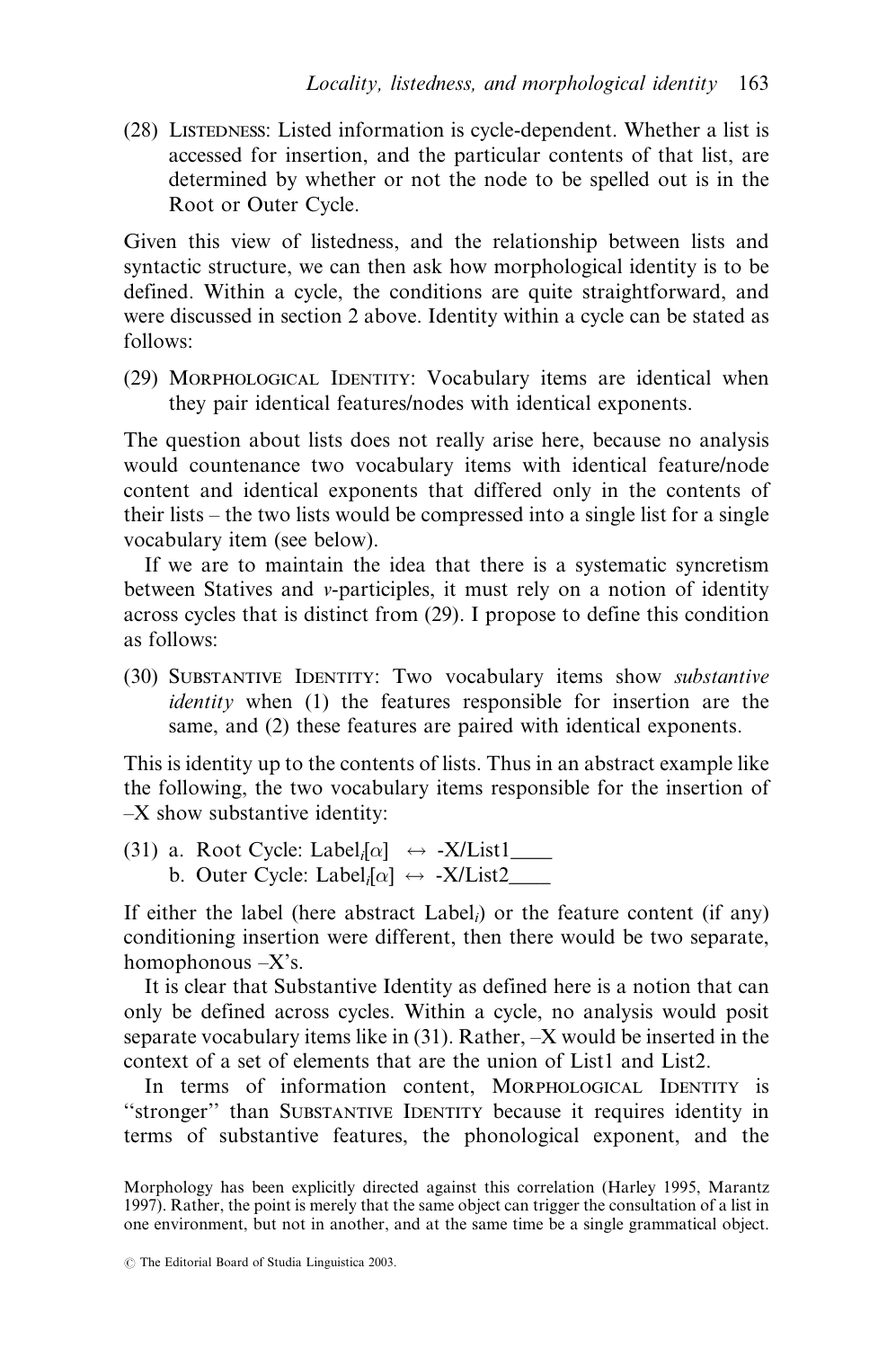(28) LISTEDNESS: Listed information is cycle-dependent. Whether a list is accessed for insertion, and the particular contents of that list, are determined by whether or not the node to be spelled out is in the Root or Outer Cycle.

Given this view of listedness, and the relationship between lists and syntactic structure, we can then ask how morphological identity is to be defined. Within a cycle, the conditions are quite straightforward, and were discussed in section 2 above. Identity within a cycle can be stated as follows:

(29) MORPHOLOGICAL IDENTITY: Vocabulary items are identical when they pair identical features/nodes with identical exponents.

The question about lists does not really arise here, because no analysis would countenance two vocabulary items with identical feature/node content and identical exponents that differed only in the contents of their lists – the two lists would be compressed into a single list for a single vocabulary item (see below).

If we are to maintain the idea that there is a systematic syncretism between Statives and *v*-participles, it must rely on a notion of identity across cycles that is distinct from (29). I propose to define this condition as follows:

(30) SUBSTANTIVE IDENTITY: Two vocabulary items show substantive *identity* when (1) the features responsible for insertion are the same, and (2) these features are paired with identical exponents.

This is identity up to the contents of lists. Thus in an abstract example like the following, the two vocabulary items responsible for the insertion of  $-X$  show substantive identity:

(31) a. Root Cycle: Label,  $\alpha$   $\leftrightarrow$  -X/List1 b. Outer Cycle: Label, $[\alpha] \leftrightarrow -X/L$ ist2

If either the label (here abstract Label<sub>i</sub>) or the feature content (if any) conditioning insertion were different, then there would be two separate, homophonous  $-X$ 's.

It is clear that Substantive Identity as defined here is a notion that can only be defined across cycles. Within a cycle, no analysis would posit separate vocabulary items like in  $(31)$ . Rather,  $-X$  would be inserted in the context of a set of elements that are the union of List1 and List2.

In terms of information content. MORPHOLOGICAL IDENTITY is "stronger" than SUBSTANTIVE IDENTITY because it requires identity in terms of substantive features, the phonological exponent, and the

Morphology has been explicitly directed against this correlation (Harley 1995, Marantz 1997). Rather, the point is merely that the same object can trigger the consultation of a list in one environment, but not in another, and at the same time be a single grammatical object.

<sup>©</sup> The Editorial Board of Studia Linguistica 2003.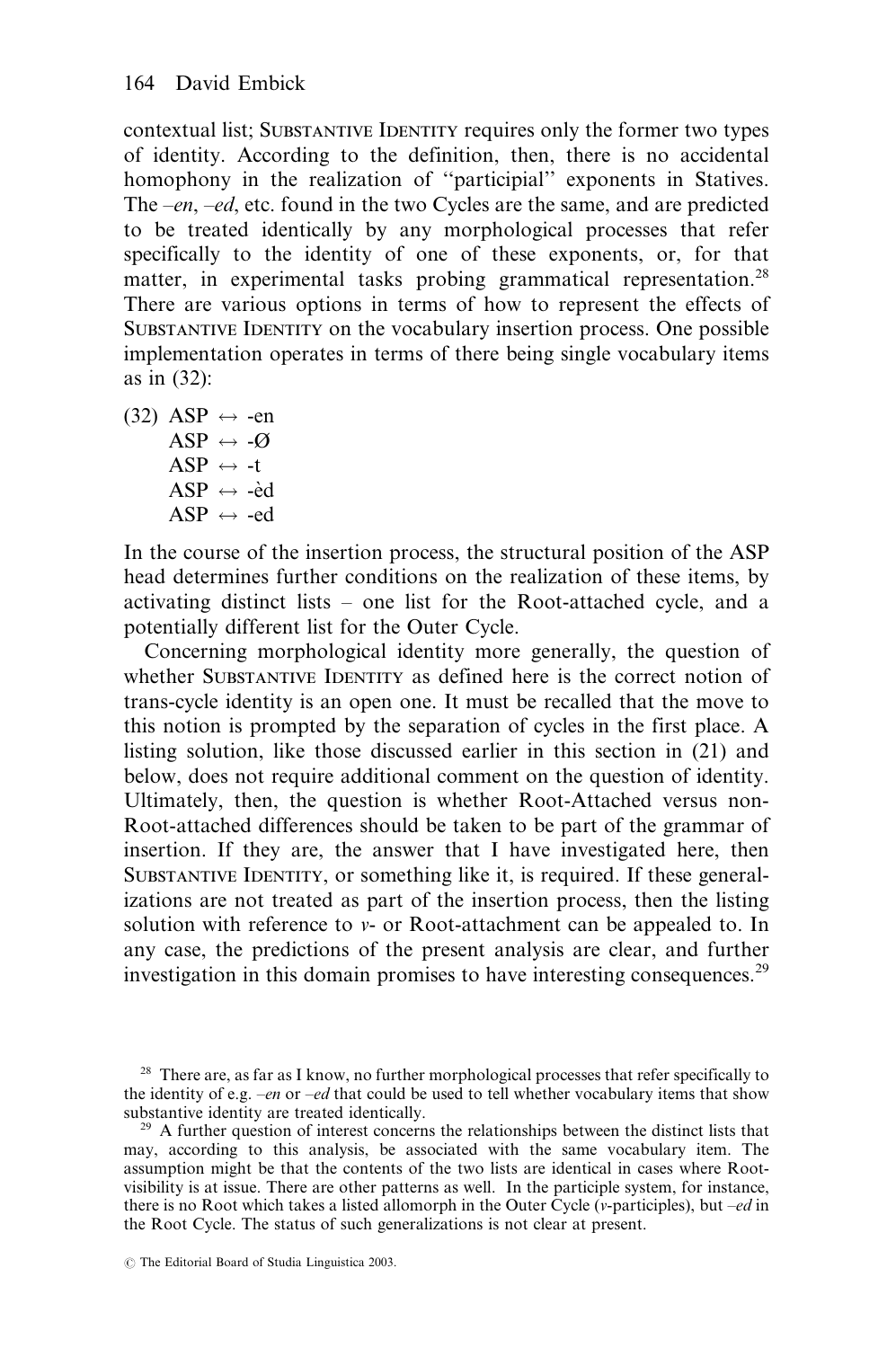contextual list: SUBSTANTIVE IDENTITY requires only the former two types of identity. According to the definition, then, there is no accidental homophony in the realization of "participial" exponents in Statives. The  $-en.$   $-ed.$  etc. found in the two Cycles are the same, and are predicted to be treated identically by any morphological processes that refer specifically to the identity of one of these exponents, or, for that matter, in experimental tasks probing grammatical representation.<sup>28</sup> There are various options in terms of how to represent the effects of SUBSTANTIVE IDENTITY on the vocabulary insertion process. One possible implementation operates in terms of there being single vocabulary items as in  $(32)$ :

(32) ASP  $\leftrightarrow$  -en ASP  $\leftrightarrow$  -Ø  $ASP \leftrightarrow -t$  $ASP \leftrightarrow \dot{A}$ ASP  $\leftrightarrow$  -ed

In the course of the insertion process, the structural position of the ASP head determines further conditions on the realization of these items, by activating distinct lists – one list for the Root-attached cycle, and a potentially different list for the Outer Cycle.

Concerning morphological identity more generally, the question of whether SUBSTANTIVE IDENTITY as defined here is the correct notion of trans-cycle identity is an open one. It must be recalled that the move to this notion is prompted by the separation of cycles in the first place. A listing solution, like those discussed earlier in this section in (21) and below, does not require additional comment on the question of identity. Ultimately, then, the question is whether Root-Attached versus non-Root-attached differences should be taken to be part of the grammar of insertion. If they are, the answer that I have investigated here, then SUBSTANTIVE IDENTITY, or something like it, is required. If these generalizations are not treated as part of the insertion process, then the listing solution with reference to  $v$ - or Root-attachment can be appealed to. In any case, the predictions of the present analysis are clear, and further investigation in this domain promises to have interesting consequences.<sup>29</sup>

<sup>&</sup>lt;sup>28</sup> There are, as far as I know, no further morphological processes that refer specifically to the identity of e.g.  $-en$  or  $-ed$  that could be used to tell whether vocabulary items that show substantive identity are treated identically.

<sup>&</sup>lt;sup>29</sup> A further question of interest concerns the relationships between the distinct lists that may, according to this analysis, be associated with the same vocabulary item. The assumption might be that the contents of the two lists are identical in cases where Rootvisibility is at issue. There are other patterns as well. In the participle system, for instance, there is no Root which takes a listed allomorph in the Outer Cycle ( $v$ -participles), but  $-e$ d in the Root Cycle. The status of such generalizations is not clear at present.

<sup>©</sup> The Editorial Board of Studia Linguistica 2003.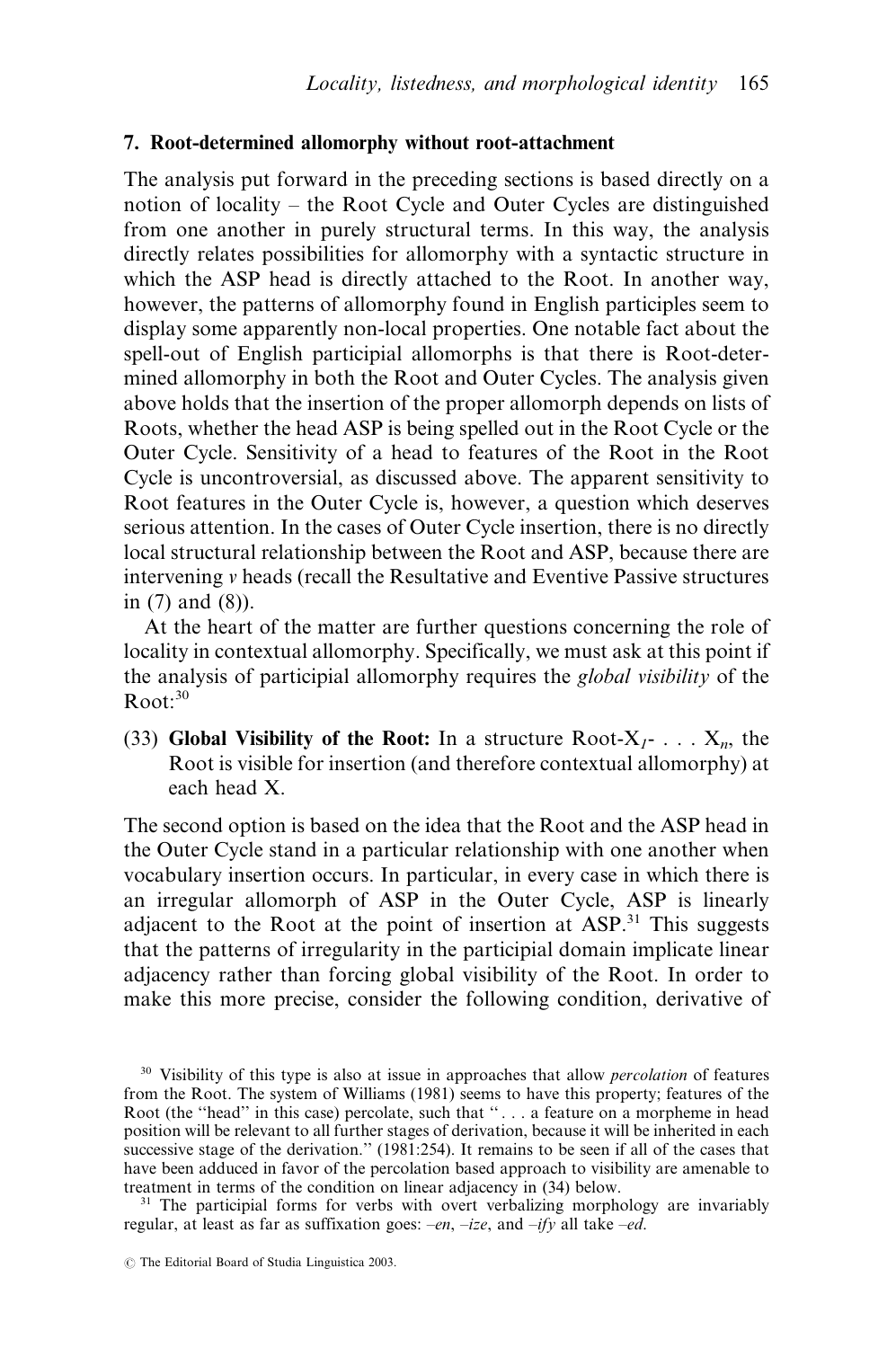#### 7. Root-determined allomorphy without root-attachment

The analysis put forward in the preceding sections is based directly on a notion of locality – the Root Cycle and Outer Cycles are distinguished from one another in purely structural terms. In this way, the analysis directly relates possibilities for allomorphy with a syntactic structure in which the ASP head is directly attached to the Root. In another way, however, the patterns of allomorphy found in English participles seem to display some apparently non-local properties. One notable fact about the spell-out of English participial allomorphs is that there is Root-determined allomorphy in both the Root and Outer Cycles. The analysis given above holds that the insertion of the proper allomorph depends on lists of Roots, whether the head ASP is being spelled out in the Root Cycle or the Outer Cycle. Sensitivity of a head to features of the Root in the Root Cycle is uncontroversial, as discussed above. The apparent sensitivity to Root features in the Outer Cycle is, however, a question which deserves serious attention. In the cases of Outer Cycle insertion, there is no directly local structural relationship between the Root and ASP, because there are intervening v heads (recall the Resultative and Eventive Passive structures in  $(7)$  and  $(8)$ ).

At the heart of the matter are further questions concerning the role of locality in contextual allomorphy. Specifically, we must ask at this point if the analysis of participial allomorphy requires the *global visibility* of the  $Root:30$ 

(33) Global Visibility of the Root: In a structure Root- $X_1$ - ...  $X_n$ , the Root is visible for insertion (and therefore contextual allomorphy) at each head X.

The second option is based on the idea that the Root and the ASP head in the Outer Cycle stand in a particular relationship with one another when vocabulary insertion occurs. In particular, in every case in which there is an irregular allomorph of ASP in the Outer Cycle, ASP is linearly adjacent to the Root at the point of insertion at ASP.<sup>31</sup> This suggests that the patterns of irregularity in the participial domain implicate linear adjacency rather than forcing global visibility of the Root. In order to make this more precise, consider the following condition, derivative of

<sup>&</sup>lt;sup>30</sup> Visibility of this type is also at issue in approaches that allow *percolation* of features from the Root. The system of Williams (1981) seems to have this property; features of the Root (the "head" in this case) percolate, such that "... a feature on a morpheme in head position will be relevant to all further stages of derivation, because it will be inherited in each successive stage of the derivation." (1981:254). It remains to be seen if all of the cases that have been adduced in favor of the percolation based approach to visibility are amenable to treatment in terms of the condition on linear adjacency in (34) below.

<sup>&</sup>lt;sup>31</sup> The participial forms for verbs with overt verbalizing morphology are invariably regular, at least as far as suffixation goes:  $-en$ ,  $-ize$ , and  $-ify$  all take  $-ed$ .

<sup>©</sup> The Editorial Board of Studia Linguistica 2003.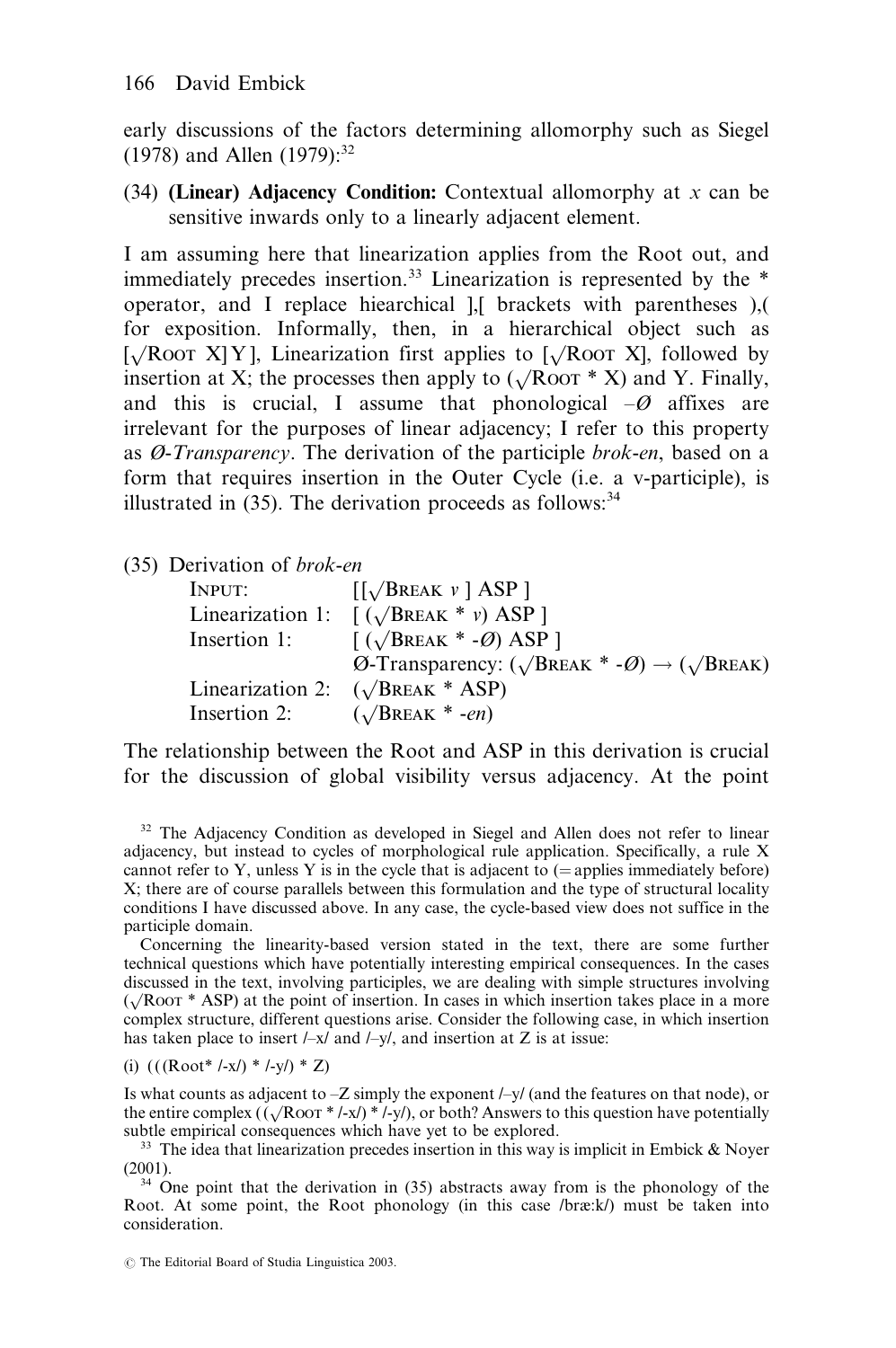early discussions of the factors determining allomorphy such as Siegel  $(1978)$  and Allen  $(1979)$ :<sup>32</sup>

 $(34)$  (Linear) Adjacency Condition: Contextual allomorphy at x can be sensitive inwards only to a linearly adjacent element.

I am assuming here that linearization applies from the Root out, and immediately precedes insertion.<sup>33</sup> Linearization is represented by the \* operator, and I replace hiearchical ],[ brackets with parentheses ),( for exposition. Informally, then, in a hierarchical object such as  $\lceil \sqrt{\text{Root X} \rceil Y} \rceil$ , Linearization first applies to  $\lceil \sqrt{\text{Root X}} \rceil$ , followed by insertion at X; the processes then apply to  $(\sqrt{R_{\text{OOT}}} * X)$  and Y. Finally, and this is crucial, I assume that phonological  $-\varnothing$  affixes are irrelevant for the purposes of linear adjacency; I refer to this property as  $\emptyset$ -Transparency. The derivation of the participle brok-en, based on a form that requires insertion in the Outer Cycle (i.e. a v-participle), is illustrated in  $(35)$ . The derivation proceeds as follows:<sup>34</sup>

(35) Derivation of brok-en

| INPUT:       | $\left[\sqrt{\text{B}}$ reak v   ASP                                                 |
|--------------|--------------------------------------------------------------------------------------|
|              | Linearization 1: $[(\sqrt{B}REAK * v) ASP]$                                          |
| Insertion 1: | $\left[\right.(\sqrt{\text{B}}\text{REAK}^* - \emptyset) \text{ASP}\right]$          |
|              | Ø-Transparency: $(\sqrt{\text{B}}$ REAK * -Ø) $\rightarrow$ $(\sqrt{\text{B}}$ REAK) |
|              | Linearization 2: $(\sqrt{B}REAK * ASP)$                                              |
| Insertion 2: | $(\sqrt{B}REAK * -en)$                                                               |

The relationship between the Root and ASP in this derivation is crucial for the discussion of global visibility versus adjacency. At the point

<sup>32</sup> The Adjacency Condition as developed in Siegel and Allen does not refer to linear adjacency, but instead to cycles of morphological rule application. Specifically, a rule X cannot refer to Y, unless Y is in the cycle that is adjacent to  $($  = applies immediately before) X; there are of course parallels between this formulation and the type of structural locality conditions I have discussed above. In any case, the cycle-based view does not suffice in the participle domain.

Concerning the linearity-based version stated in the text, there are some further technical questions which have potentially interesting empirical consequences. In the cases discussed in the text, involving participles, we are dealing with simple structures involving  $(\sqrt{R}_{OOT} * ASP)$  at the point of insertion. In cases in which insertion takes place in a more complex structure, different questions arise. Consider the following case, in which insertion has taken place to insert  $\frac{1}{x}$  and  $\frac{1}{y}$ , and insertion at Z is at issue:

(i)  $(((Root*/-x/)*/-y/)*Z)$ 

Is what counts as adjacent to  $-Z$  simply the exponent  $I-y$  (and the features on that node), or the entire complex  $((\sqrt{R_{OOT} * |-x|) * |-y|})$ , or both? Answers to this question have potentially subtle empirical consequences which have yet to be explored.

 $33$  The idea that linearization precedes insertion in this way is implicit in Embick & Noyer  $(2001).$ 

 $34$  One point that the derivation in (35) abstracts away from is the phonology of the Root. At some point, the Root phonology (in this case /bræ:k/) must be taken into consideration.

<sup>©</sup> The Editorial Board of Studia Linguistica 2003.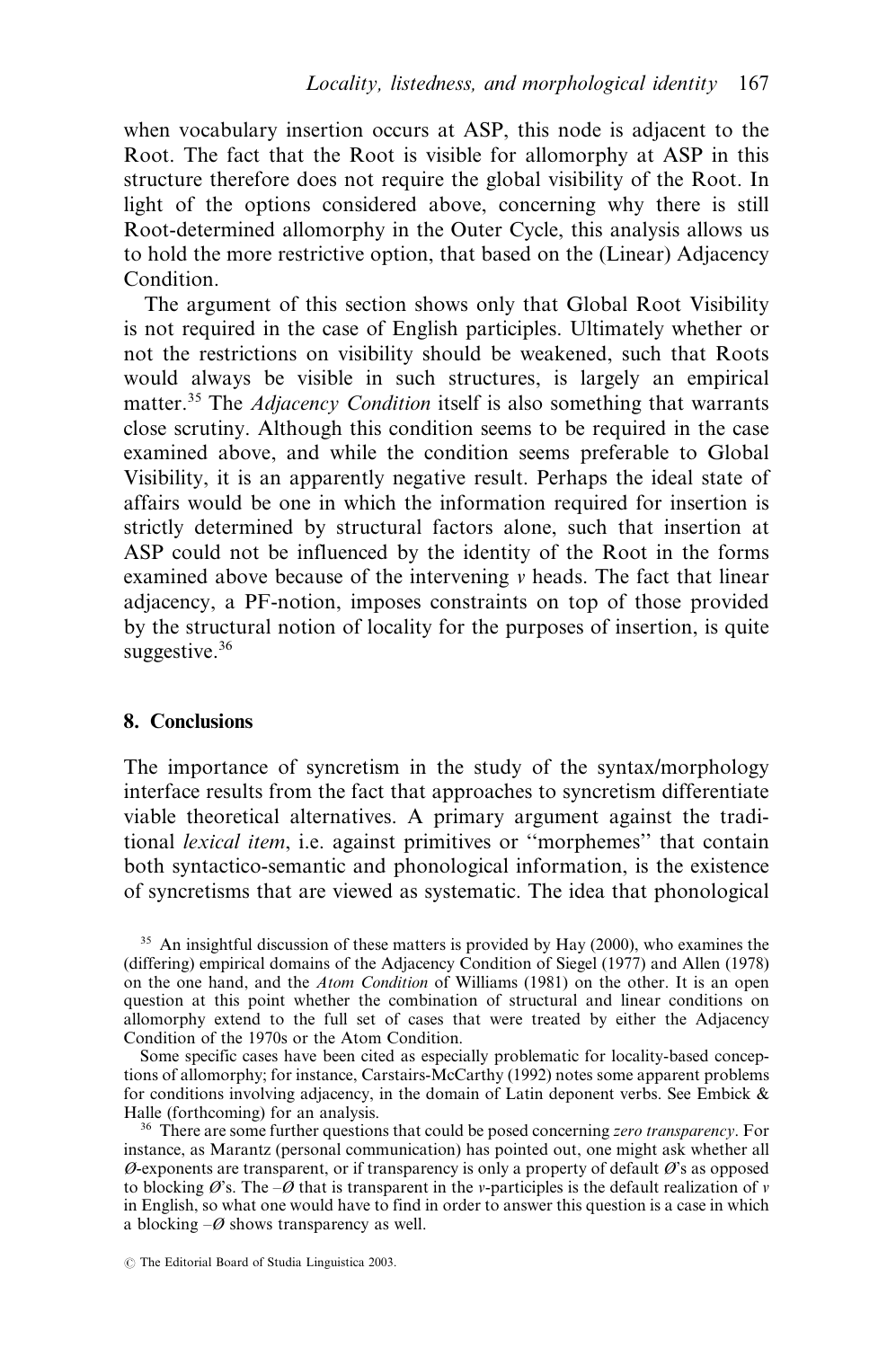when vocabulary insertion occurs at ASP, this node is adjacent to the Root. The fact that the Root is visible for allomorphy at ASP in this structure therefore does not require the global visibility of the Root. In light of the options considered above, concerning why there is still Root-determined allomorphy in the Outer Cycle, this analysis allows us to hold the more restrictive option, that based on the (Linear) Adjacency Condition.

The argument of this section shows only that Global Root Visibility is not required in the case of English participles. Ultimately whether or not the restrictions on visibility should be weakened, such that Roots would always be visible in such structures, is largely an empirical matter.<sup>35</sup> The *Adiacency Condition* itself is also something that warrants close scrutiny. Although this condition seems to be required in the case examined above, and while the condition seems preferable to Global Visibility, it is an apparently negative result. Perhaps the ideal state of affairs would be one in which the information required for insertion is strictly determined by structural factors alone, such that insertion at ASP could not be influenced by the identity of the Root in the forms examined above because of the intervening  $\nu$  heads. The fact that linear adjacency, a PF-notion, imposes constraints on top of those provided by the structural notion of locality for the purposes of insertion, is quite suggestive. $36$ 

#### 8. Conclusions

The importance of syncretism in the study of the syntax/morphology interface results from the fact that approaches to syncretism differentiate viable theoretical alternatives. A primary argument against the traditional lexical item, i.e. against primitives or "morphemes" that contain both syntactico-semantic and phonological information, is the existence of syncretisms that are viewed as systematic. The idea that phonological

<sup>35</sup> An insightful discussion of these matters is provided by Hay (2000), who examines the (differing) empirical domains of the Adjacency Condition of Siegel (1977) and Allen (1978) on the one hand, and the Atom Condition of Williams (1981) on the other. It is an open question at this point whether the combination of structural and linear conditions on allomorphy extend to the full set of cases that were treated by either the Adjacency Condition of the 1970s or the Atom Condition.

Some specific cases have been cited as especially problematic for locality-based conceptions of allomorphy; for instance, Carstairs-McCarthy (1992) notes some apparent problems for conditions involving adjacency, in the domain of Latin deponent verbs. See Embick  $\&$ Halle (forthcoming) for an analysis.

<sup>36</sup> There are some further questions that could be posed concerning zero transparency. For instance, as Marantz (personal communication) has pointed out, one might ask whether all  $\varnothing$ -exponents are transparent, or if transparency is only a property of default  $\varnothing$ 's as opposed to blocking  $\mathscr{O}$ 's. The  $-\mathscr{O}$  that is transparent in the v-participles is the default realization of v in English, so what one would have to find in order to answer this question is a case in which a blocking  $-\varnothing$  shows transparency as well.

© The Editorial Board of Studia Linguistica 2003.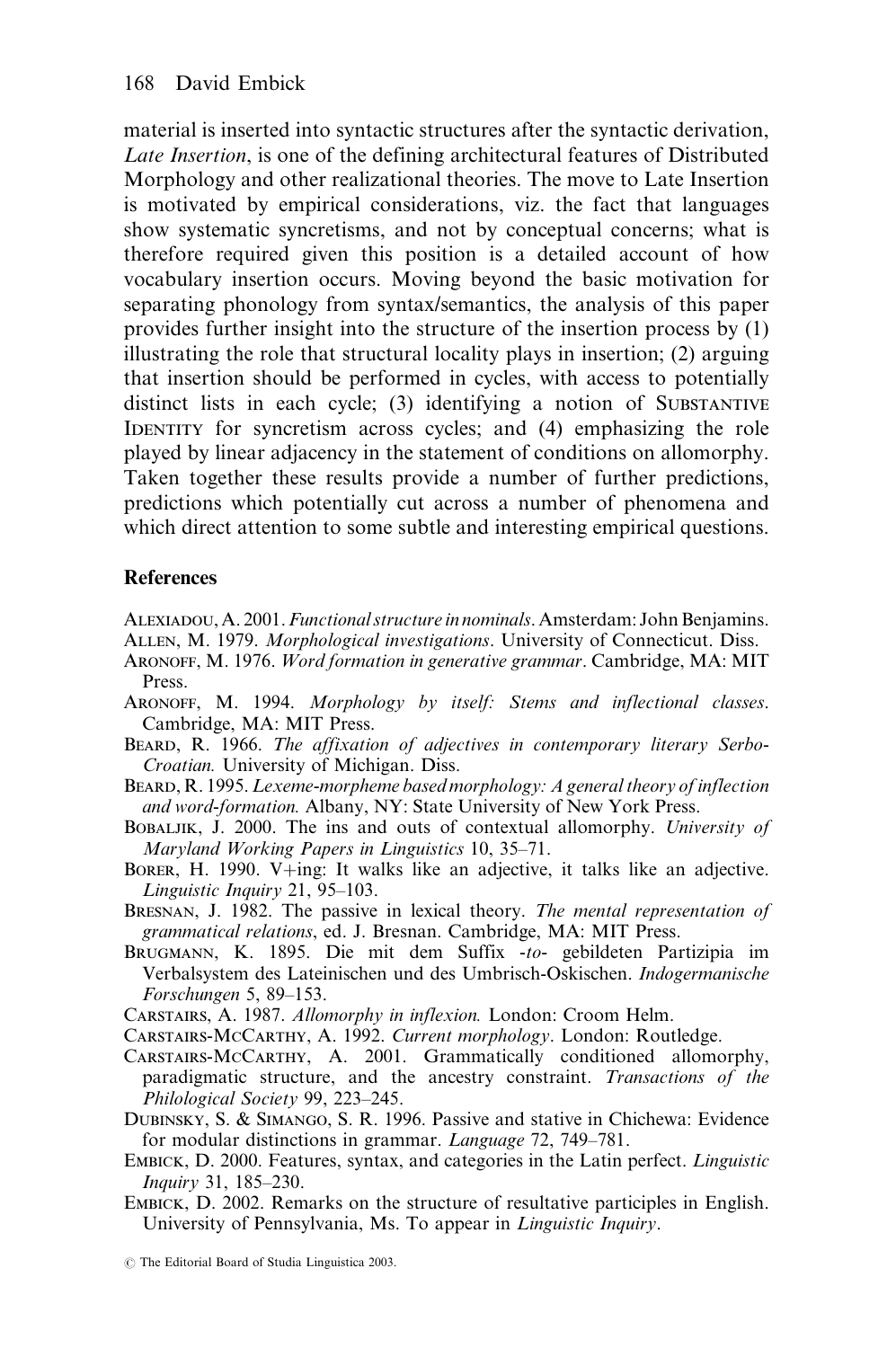material is inserted into syntactic structures after the syntactic derivation, Late Insertion, is one of the defining architectural features of Distributed Morphology and other realizational theories. The move to Late Insertion is motivated by empirical considerations, viz. the fact that languages show systematic syncretisms, and not by conceptual concerns; what is therefore required given this position is a detailed account of how vocabulary insertion occurs. Moving beyond the basic motivation for separating phonology from syntax/semantics, the analysis of this paper provides further insight into the structure of the insertion process by (1) illustrating the role that structural locality plays in insertion; (2) arguing that insertion should be performed in cycles, with access to potentially distinct lists in each cycle; (3) identifying a notion of SUBSTANTIVE IDENTITY for syncretism across cycles; and (4) emphasizing the role played by linear adjacency in the statement of conditions on allomorphy. Taken together these results provide a number of further predictions, predictions which potentially cut across a number of phenomena and which direct attention to some subtle and interesting empirical questions.

# **References**

- ALEXIADOU, A. 2001. Functional structure in nominals. Amsterdam: John Benjamins. ALLEN, M. 1979. Morphological investigations. University of Connecticut. Diss.
- ARONOFF, M. 1976. Word formation in generative grammar. Cambridge, MA: MIT Press.
- ARONOFF, M. 1994. Morphology by itself: Stems and inflectional classes. Cambridge, MA: MIT Press.
- BEARD, R. 1966. The affixation of adjectives in contemporary literary Serbo-Croatian. University of Michigan. Diss.
- BEARD, R. 1995. Lexeme-morpheme based morphology: A general theory of inflection and word-formation. Albany, NY: State University of New York Press.
- BOBALJIK, J. 2000. The ins and outs of contextual allomorphy. University of Maryland Working Papers in Linguistics 10, 35–71.
- BORER, H. 1990.  $V + ing$ : It walks like an adjective, it talks like an adjective. Linguistic Inquiry 21, 95-103.
- BRESNAN, J. 1982. The passive in lexical theory. The mental representation of grammatical relations, ed. J. Bresnan. Cambridge, MA: MIT Press.
- BRUGMANN, K. 1895. Die mit dem Suffix -to- gebildeten Partizipia im Verbalsystem des Lateinischen und des Umbrisch-Oskischen. Indogermanische Forschungen 5, 89-153.
- CARSTAIRS, A. 1987. Allomorphy in inflexion. London: Croom Helm.
- CARSTAIRS-MCCARTHY, A. 1992. Current morphology. London: Routledge.
- CARSTAIRS-MCCARTHY, A. 2001. Grammatically conditioned allomorphy, paradigmatic structure, and the ancestry constraint. Transactions of the Philological Society 99, 223-245.
- DUBINSKY, S. & SIMANGO, S. R. 1996. Passive and stative in Chichewa: Evidence for modular distinctions in grammar. Language 72, 749–781.
- EMBICK, D. 2000. Features, syntax, and categories in the Latin perfect. Linguistic Inquiry 31, 185-230.
- EMBICK, D. 2002. Remarks on the structure of resultative participles in English. University of Pennsylvania, Ms. To appear in *Linguistic Inquiry*.

<sup>©</sup> The Editorial Board of Studia Linguistica 2003.